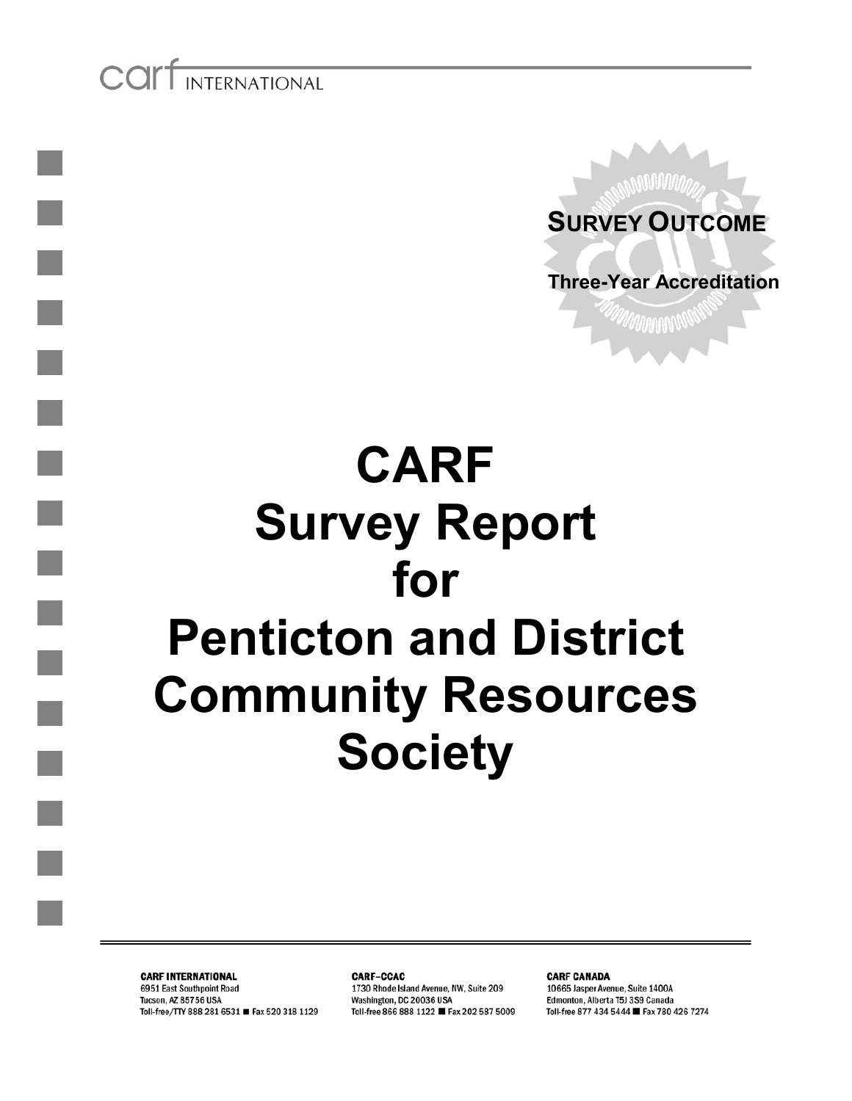COIT INTERNATIONAL



# **CARF Survey Report for Penticton and District Community Resources Society**

**CARF INTERNATIONAL** 6951 East Southpoint Road Tucson, AZ 85756 USA Toll-free/TTY 888 281 6531 ■ Fax 520 318 1129

**CARF-CCAC** 1730 Rhode Island Avenue, NW, Suite 209 Washington, DC 20036 USA Toll-free 866 888 1122 ■ Fax 202 587 5009

**CARF CANADA** 10665 Jasper Avenue, Suite 1400A Edmonton, Alberta T5J 3S9 Canada Toll-free 877 434 5444 ■ Fax 780 426 7274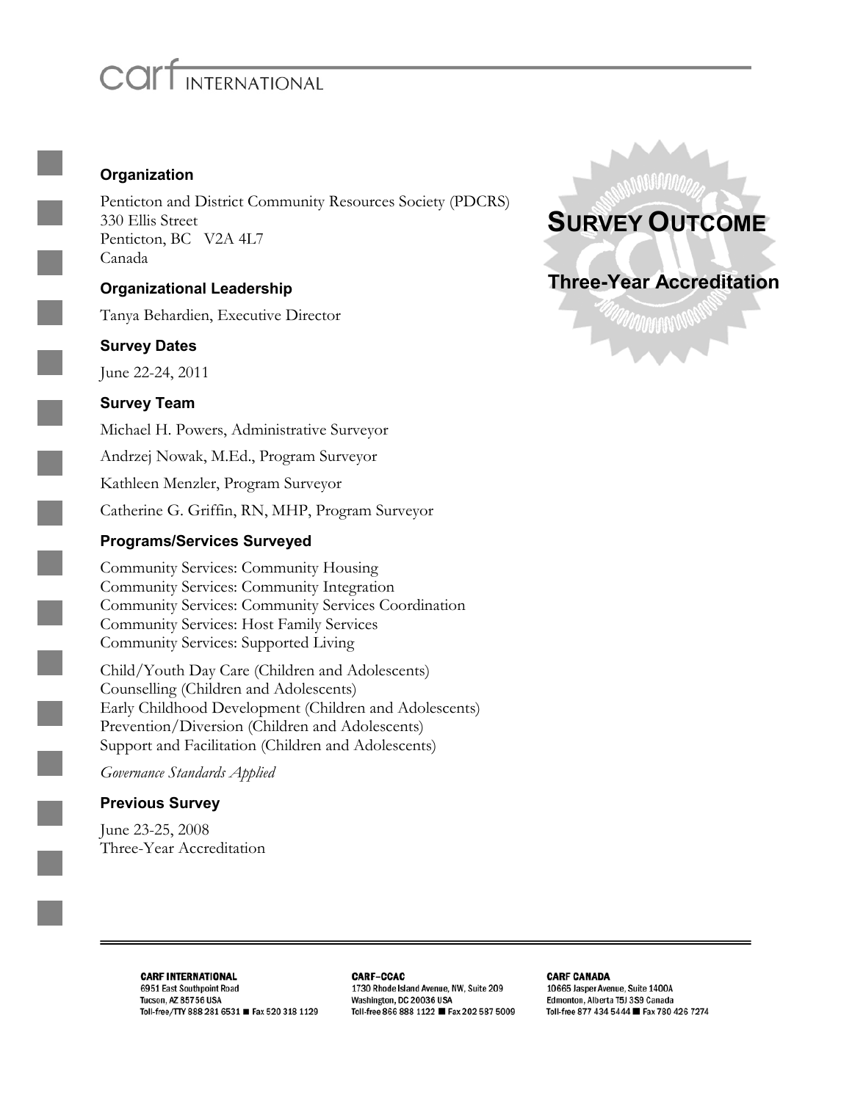# INTERNATIONAL

### **Organization**

Penticton and District Community Resources Society (PDCRS) 330 Ellis Street Penticton, BC V2A 4L7 Canada

### **Organizational Leadership**

Tanya Behardien, Executive Director

#### **Survey Dates**

June 22-24, 2011

### **Survey Team**

Michael H. Powers, Administrative Surveyor Andrzej Nowak, M.Ed., Program Surveyor Kathleen Menzler, Program Surveyor Catherine G. Griffin, RN, MHP, Program Surveyor

### **Programs/Services Surveyed**

Community Services: Community Housing Community Services: Community Integration Community Services: Community Services Coordination Community Services: Host Family Services Community Services: Supported Living

Child/Youth Day Care (Children and Adolescents) Counselling (Children and Adolescents) Early Childhood Development (Children and Adolescents) Prevention/Diversion (Children and Adolescents) Support and Facilitation (Children and Adolescents)

*Governance Standards Applied*

### **Previous Survey**

June 23-25, 2008 Three-Year Accreditation



*UNNA***AAN** 

**CARF INTERNATIONAL** 6951 East Southpoint Road Tucson, AZ 85756 USA Toll-free/TTY 888 281 6531 ■ Fax 520 318 1129 **CARF-CCAC** 1730 Rhode Island Avenue, NW, Suite 209 Washington, DC 20036 USA Toll-free 866 888 1122 ■ Fax 202 587 5009

**CARF CANADA** 10665 Jasper Avenue, Suite 1400A Edmonton, Alberta T5J 3S9 Canada Toll-free 877 434 5444 ■ Fax 780 426 7274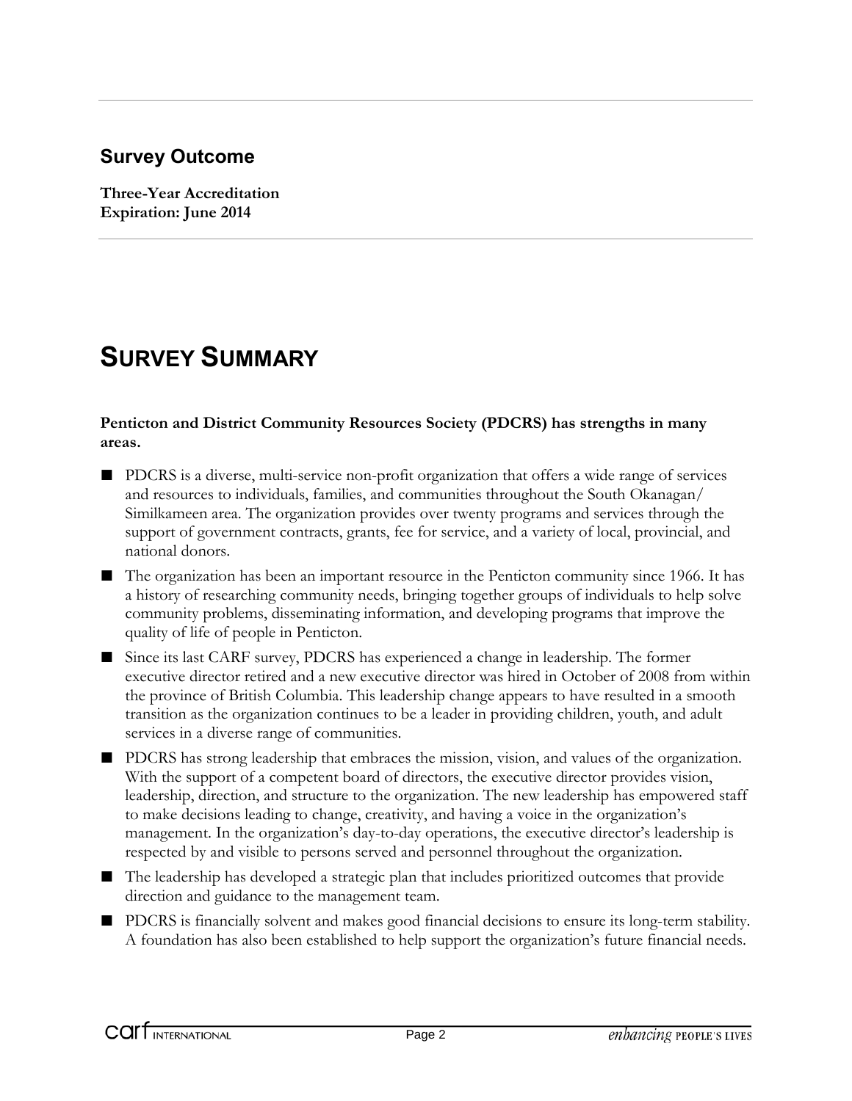### **Survey Outcome**

**Three-Year Accreditation Expiration: June 2014**

## **SURVEY SUMMARY**

#### **Penticton and District Community Resources Society (PDCRS) has strengths in many areas.**

- PDCRS is a diverse, multi-service non-profit organization that offers a wide range of services and resources to individuals, families, and communities throughout the South Okanagan/ Similkameen area. The organization provides over twenty programs and services through the support of government contracts, grants, fee for service, and a variety of local, provincial, and national donors.
- The organization has been an important resource in the Penticton community since 1966. It has a history of researching community needs, bringing together groups of individuals to help solve community problems, disseminating information, and developing programs that improve the quality of life of people in Penticton.
- Since its last CARF survey, PDCRS has experienced a change in leadership. The former executive director retired and a new executive director was hired in October of 2008 from within the province of British Columbia. This leadership change appears to have resulted in a smooth transition as the organization continues to be a leader in providing children, youth, and adult services in a diverse range of communities.
- PDCRS has strong leadership that embraces the mission, vision, and values of the organization. With the support of a competent board of directors, the executive director provides vision, leadership, direction, and structure to the organization. The new leadership has empowered staff to make decisions leading to change, creativity, and having a voice in the organization's management. In the organization's day-to-day operations, the executive director's leadership is respected by and visible to persons served and personnel throughout the organization.
- The leadership has developed a strategic plan that includes prioritized outcomes that provide direction and guidance to the management team.
- PDCRS is financially solvent and makes good financial decisions to ensure its long-term stability. A foundation has also been established to help support the organization's future financial needs.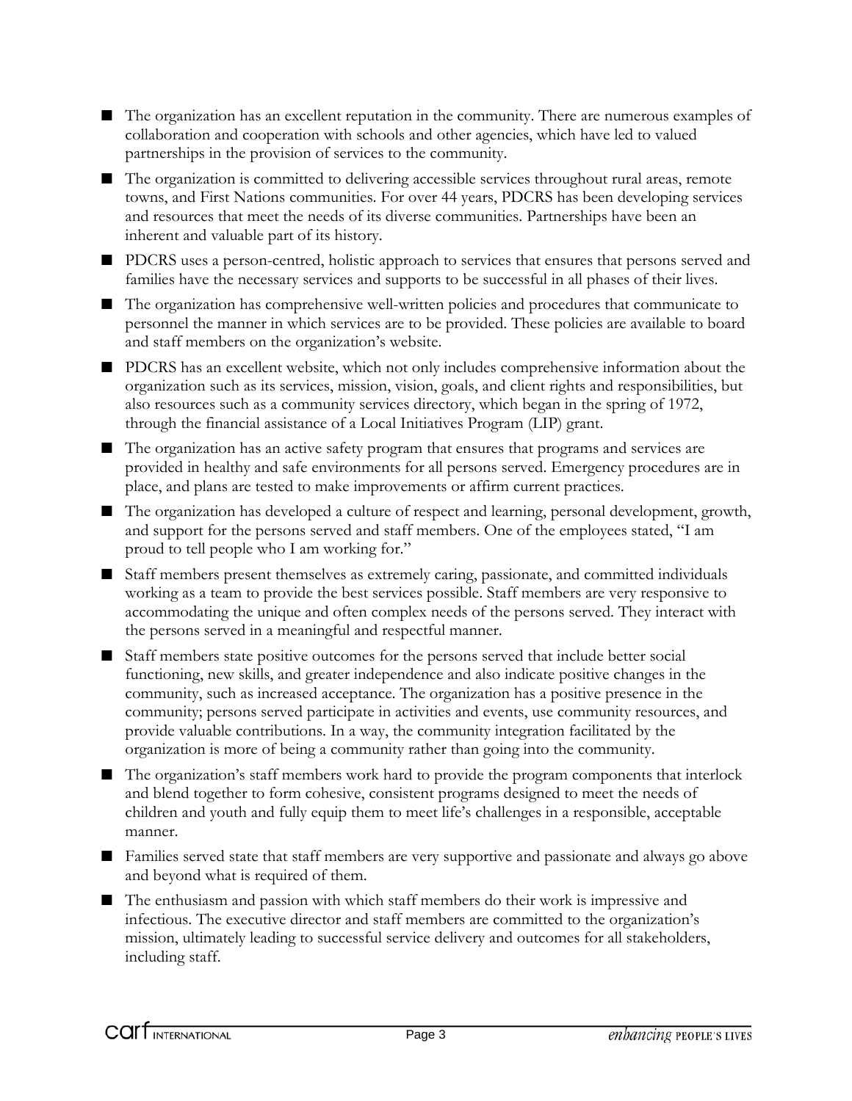- The organization has an excellent reputation in the community. There are numerous examples of collaboration and cooperation with schools and other agencies, which have led to valued partnerships in the provision of services to the community.
- The organization is committed to delivering accessible services throughout rural areas, remote towns, and First Nations communities. For over 44 years, PDCRS has been developing services and resources that meet the needs of its diverse communities. Partnerships have been an inherent and valuable part of its history.
- PDCRS uses a person-centred, holistic approach to services that ensures that persons served and families have the necessary services and supports to be successful in all phases of their lives.
- The organization has comprehensive well-written policies and procedures that communicate to personnel the manner in which services are to be provided. These policies are available to board and staff members on the organization's website.
- PDCRS has an excellent website, which not only includes comprehensive information about the organization such as its services, mission, vision, goals, and client rights and responsibilities, but also resources such as a community services directory, which began in the spring of 1972, through the financial assistance of a Local Initiatives Program (LIP) grant.
- The organization has an active safety program that ensures that programs and services are provided in healthy and safe environments for all persons served. Emergency procedures are in place, and plans are tested to make improvements or affirm current practices.
- The organization has developed a culture of respect and learning, personal development, growth, and support for the persons served and staff members. One of the employees stated, "I am proud to tell people who I am working for."
- Staff members present themselves as extremely caring, passionate, and committed individuals working as a team to provide the best services possible. Staff members are very responsive to accommodating the unique and often complex needs of the persons served. They interact with the persons served in a meaningful and respectful manner.
- Staff members state positive outcomes for the persons served that include better social functioning, new skills, and greater independence and also indicate positive changes in the community, such as increased acceptance. The organization has a positive presence in the community; persons served participate in activities and events, use community resources, and provide valuable contributions. In a way, the community integration facilitated by the organization is more of being a community rather than going into the community.
- The organization's staff members work hard to provide the program components that interlock and blend together to form cohesive, consistent programs designed to meet the needs of children and youth and fully equip them to meet life's challenges in a responsible, acceptable manner.
- Families served state that staff members are very supportive and passionate and always go above and beyond what is required of them.
- The enthusiasm and passion with which staff members do their work is impressive and infectious. The executive director and staff members are committed to the organization's mission, ultimately leading to successful service delivery and outcomes for all stakeholders, including staff.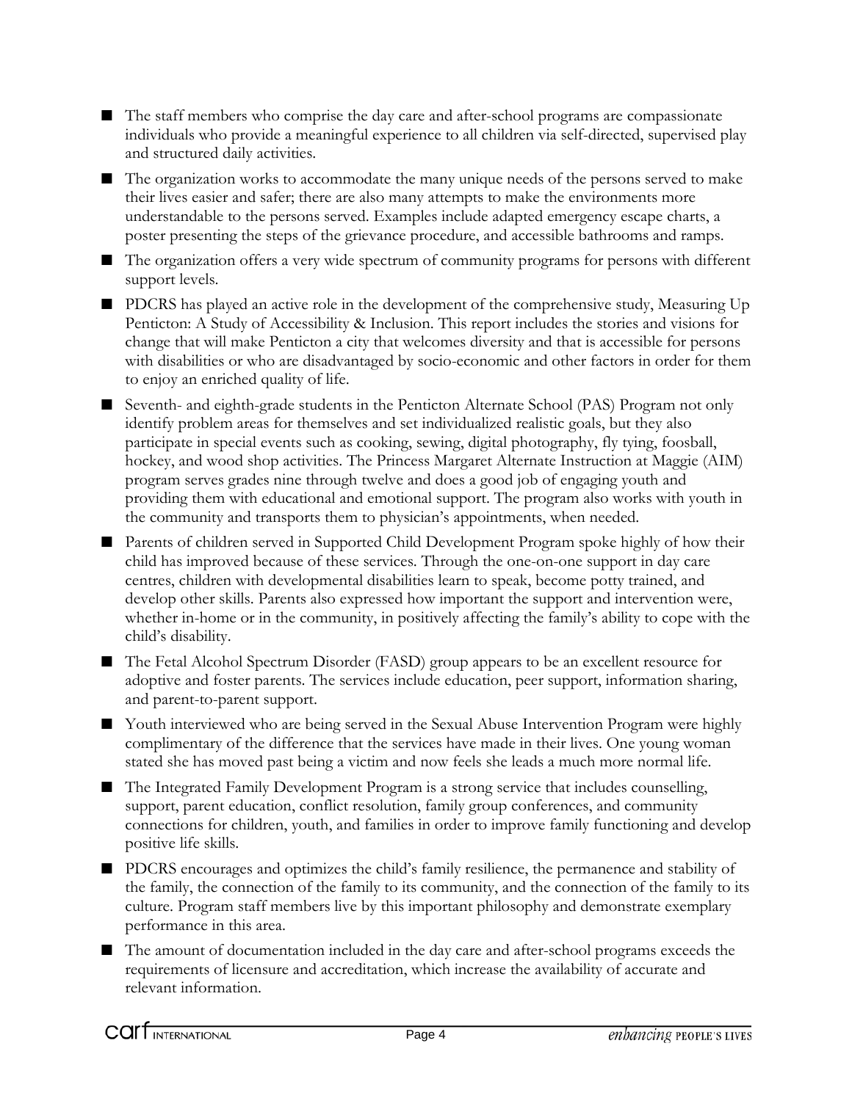- The staff members who comprise the day care and after-school programs are compassionate individuals who provide a meaningful experience to all children via self-directed, supervised play and structured daily activities.
- The organization works to accommodate the many unique needs of the persons served to make their lives easier and safer; there are also many attempts to make the environments more understandable to the persons served. Examples include adapted emergency escape charts, a poster presenting the steps of the grievance procedure, and accessible bathrooms and ramps.
- The organization offers a very wide spectrum of community programs for persons with different support levels.
- PDCRS has played an active role in the development of the comprehensive study, Measuring Up Penticton: A Study of Accessibility & Inclusion. This report includes the stories and visions for change that will make Penticton a city that welcomes diversity and that is accessible for persons with disabilities or who are disadvantaged by socio-economic and other factors in order for them to enjoy an enriched quality of life.
- Seventh- and eighth-grade students in the Penticton Alternate School (PAS) Program not only identify problem areas for themselves and set individualized realistic goals, but they also participate in special events such as cooking, sewing, digital photography, fly tying, foosball, hockey, and wood shop activities. The Princess Margaret Alternate Instruction at Maggie (AIM) program serves grades nine through twelve and does a good job of engaging youth and providing them with educational and emotional support. The program also works with youth in the community and transports them to physician's appointments, when needed.
- Parents of children served in Supported Child Development Program spoke highly of how their child has improved because of these services. Through the one-on-one support in day care centres, children with developmental disabilities learn to speak, become potty trained, and develop other skills. Parents also expressed how important the support and intervention were, whether in-home or in the community, in positively affecting the family's ability to cope with the child's disability.
- The Fetal Alcohol Spectrum Disorder (FASD) group appears to be an excellent resource for adoptive and foster parents. The services include education, peer support, information sharing, and parent-to-parent support.
- Youth interviewed who are being served in the Sexual Abuse Intervention Program were highly complimentary of the difference that the services have made in their lives. One young woman stated she has moved past being a victim and now feels she leads a much more normal life.
- The Integrated Family Development Program is a strong service that includes counselling, support, parent education, conflict resolution, family group conferences, and community connections for children, youth, and families in order to improve family functioning and develop positive life skills.
- PDCRS encourages and optimizes the child's family resilience, the permanence and stability of the family, the connection of the family to its community, and the connection of the family to its culture. Program staff members live by this important philosophy and demonstrate exemplary performance in this area.
- The amount of documentation included in the day care and after-school programs exceeds the requirements of licensure and accreditation, which increase the availability of accurate and relevant information.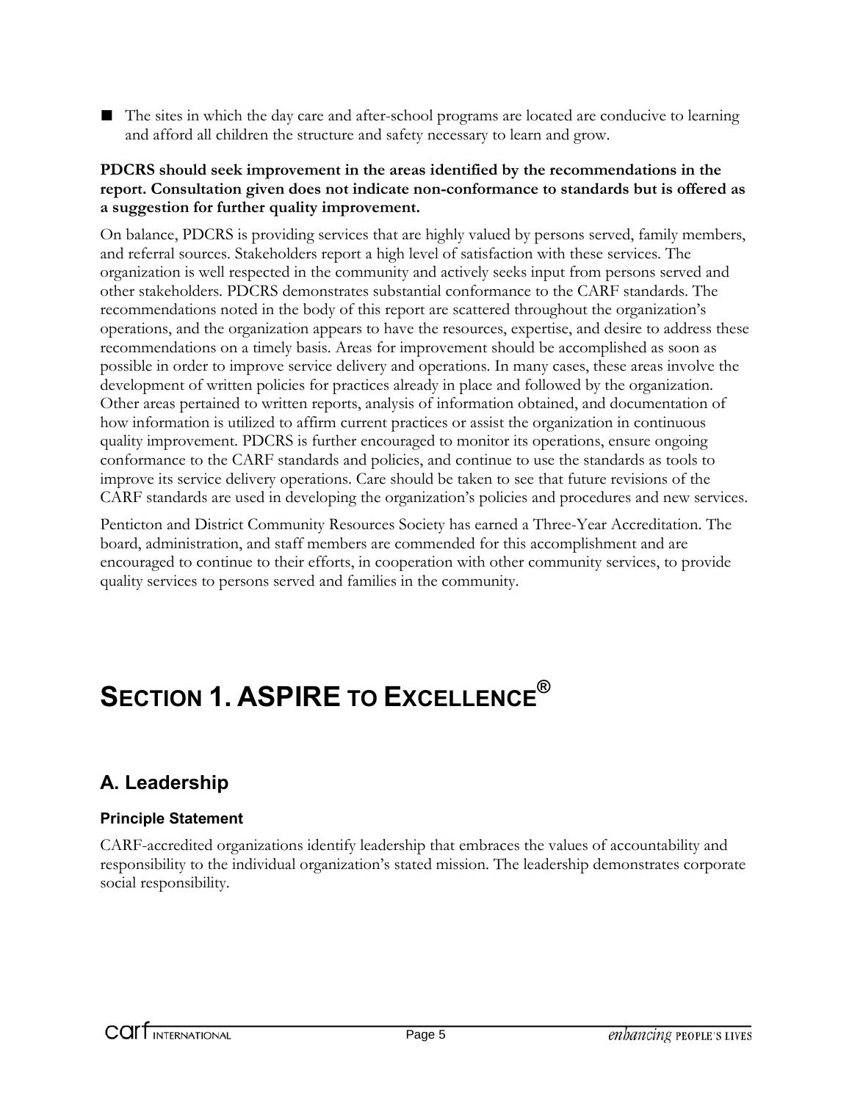■ The sites in which the day care and after-school programs are located are conducive to learning and afford all children the structure and safety necessary to learn and grow.

### **PDCRS should seek improvement in the areas identified by the recommendations in the report. Consultation given does not indicate non-conformance to standards but is offered as a suggestion for further quality improvement.**

On balance, PDCRS is providing services that are highly valued by persons served, family members, and referral sources. Stakeholders report a high level of satisfaction with these services. The organization is well respected in the community and actively seeks input from persons served and other stakeholders. PDCRS demonstrates substantial conformance to the CARF standards. The recommendations noted in the body of this report are scattered throughout the organization's operations, and the organization appears to have the resources, expertise, and desire to address these recommendations on a timely basis. Areas for improvement should be accomplished as soon as possible in order to improve service delivery and operations. In many cases, these areas involve the development of written policies for practices already in place and followed by the organization. Other areas pertained to written reports, analysis of information obtained, and documentation of how information is utilized to affirm current practices or assist the organization in continuous quality improvement. PDCRS is further encouraged to monitor its operations, ensure ongoing conformance to the CARF standards and policies, and continue to use the standards as tools to improve its service delivery operations. Care should be taken to see that future revisions of the CARF standards are used in developing the organization's policies and procedures and new services.

Penticton and District Community Resources Society has earned a Three-Year Accreditation. The board, administration, and staff members are commended for this accomplishment and are encouraged to continue to their efforts, in cooperation with other community services, to provide quality services to persons served and families in the community.

# **SECTION 1. ASPIRE TO EXCELLENCE®**

### **A. Leadership**

### **Principle Statement**

CARF-accredited organizations identify leadership that embraces the values of accountability and responsibility to the individual organization's stated mission. The leadership demonstrates corporate social responsibility.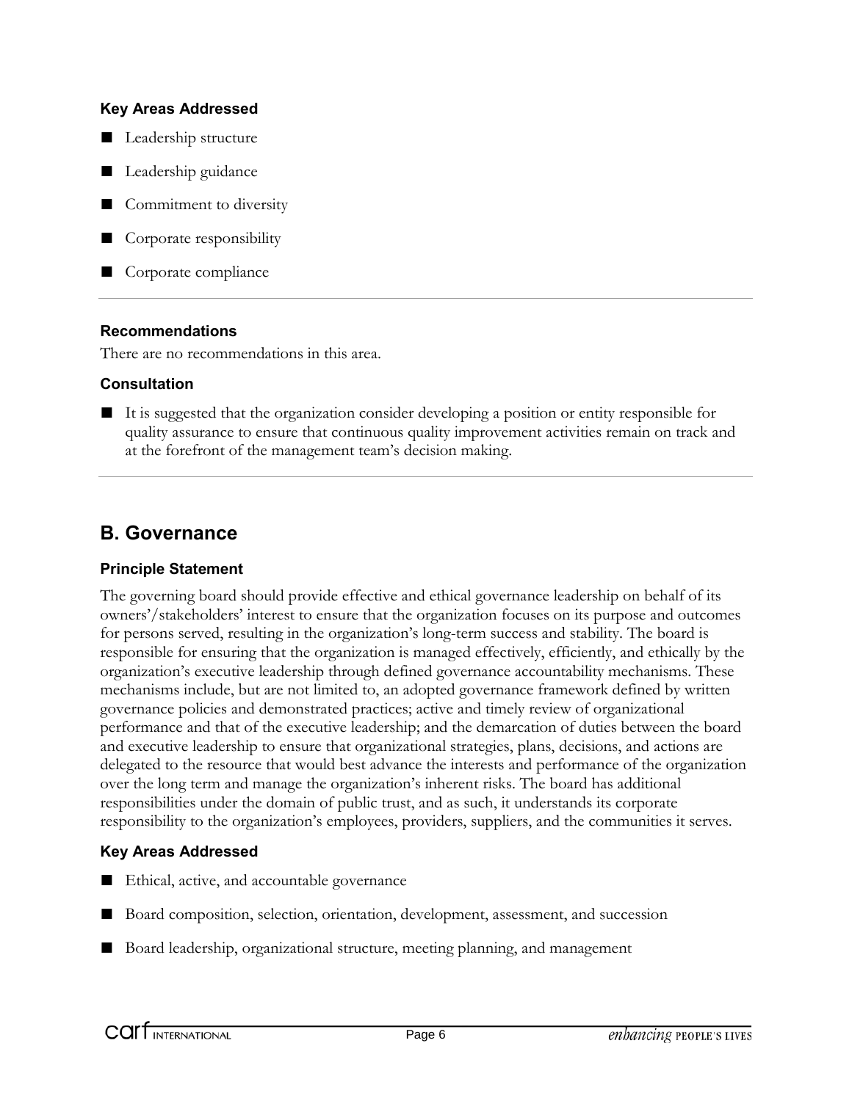- Leadership structure
- Leadership guidance
- Commitment to diversity
- Corporate responsibility
- Corporate compliance

#### **Recommendations**

There are no recommendations in this area.

### **Consultation**

■ It is suggested that the organization consider developing a position or entity responsible for quality assurance to ensure that continuous quality improvement activities remain on track and at the forefront of the management team's decision making.

### **B. Governance**

#### **Principle Statement**

The governing board should provide effective and ethical governance leadership on behalf of its owners'/stakeholders' interest to ensure that the organization focuses on its purpose and outcomes for persons served, resulting in the organization's long-term success and stability. The board is responsible for ensuring that the organization is managed effectively, efficiently, and ethically by the organization's executive leadership through defined governance accountability mechanisms. These mechanisms include, but are not limited to, an adopted governance framework defined by written governance policies and demonstrated practices; active and timely review of organizational performance and that of the executive leadership; and the demarcation of duties between the board and executive leadership to ensure that organizational strategies, plans, decisions, and actions are delegated to the resource that would best advance the interests and performance of the organization over the long term and manage the organization's inherent risks. The board has additional responsibilities under the domain of public trust, and as such, it understands its corporate responsibility to the organization's employees, providers, suppliers, and the communities it serves.

### **Key Areas Addressed**

- Ethical, active, and accountable governance
- Board composition, selection, orientation, development, assessment, and succession
- Board leadership, organizational structure, meeting planning, and management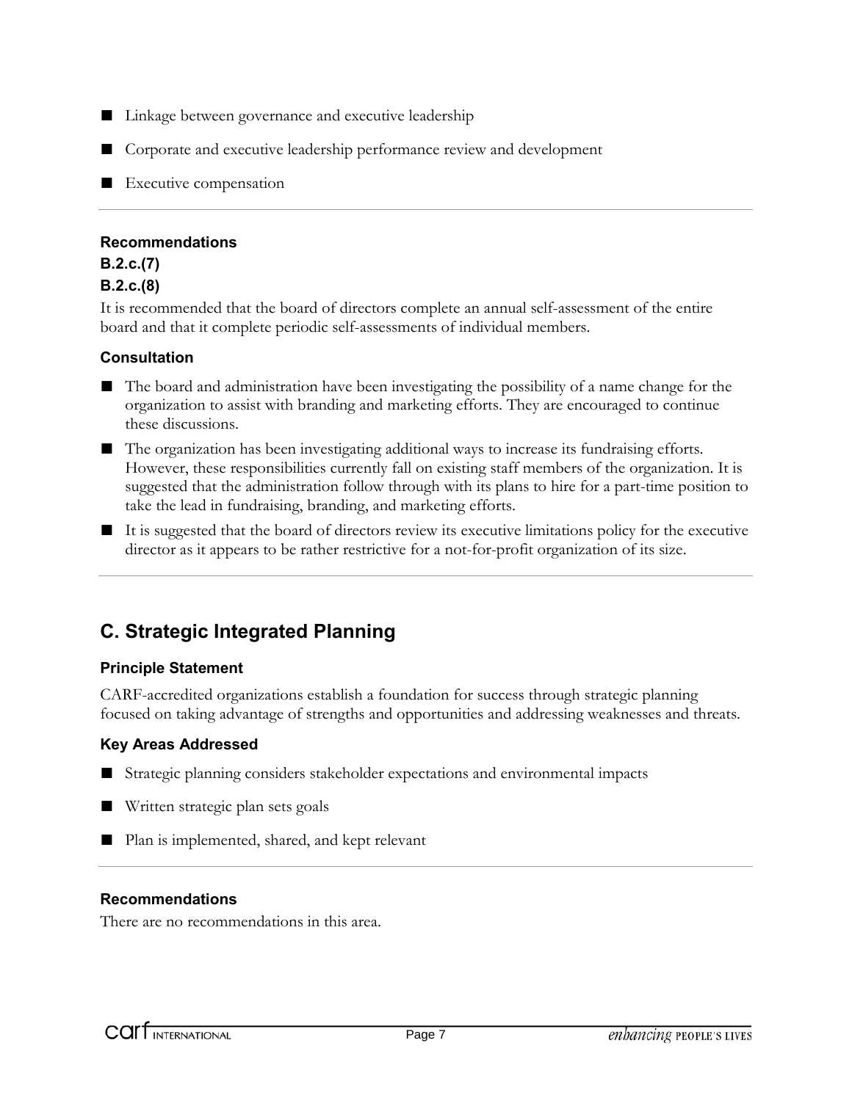- Linkage between governance and executive leadership
- Corporate and executive leadership performance review and development
- Executive compensation

#### **Recommendations**

### **B.2.c.(7) B.2.c.(8)**

It is recommended that the board of directors complete an annual self-assessment of the entire board and that it complete periodic self-assessments of individual members.

### **Consultation**

- The board and administration have been investigating the possibility of a name change for the organization to assist with branding and marketing efforts. They are encouraged to continue these discussions.
- The organization has been investigating additional ways to increase its fundraising efforts. However, these responsibilities currently fall on existing staff members of the organization. It is suggested that the administration follow through with its plans to hire for a part-time position to take the lead in fundraising, branding, and marketing efforts.
- It is suggested that the board of directors review its executive limitations policy for the executive director as it appears to be rather restrictive for a not-for-profit organization of its size.

### **C. Strategic Integrated Planning**

### **Principle Statement**

CARF-accredited organizations establish a foundation for success through strategic planning focused on taking advantage of strengths and opportunities and addressing weaknesses and threats.

#### **Key Areas Addressed**

- Strategic planning considers stakeholder expectations and environmental impacts
- Written strategic plan sets goals
- Plan is implemented, shared, and kept relevant

#### **Recommendations**

There are no recommendations in this area.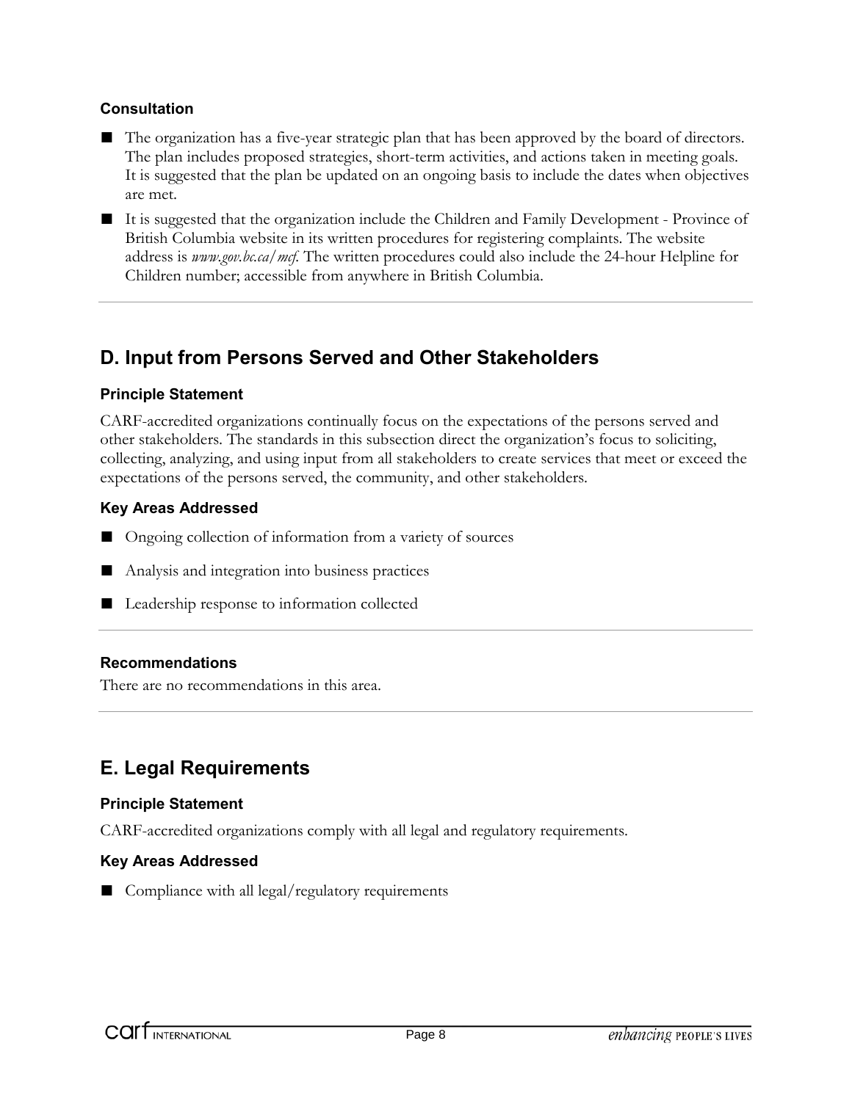### **Consultation**

- The organization has a five-year strategic plan that has been approved by the board of directors. The plan includes proposed strategies, short-term activities, and actions taken in meeting goals. It is suggested that the plan be updated on an ongoing basis to include the dates when objectives are met.
- It is suggested that the organization include the Children and Family Development Province of British Columbia website in its written procedures for registering complaints. The website address is *www.gov.bc.ca/mcf.* The written procedures could also include the 24-hour Helpline for Children number; accessible from anywhere in British Columbia.

### **D. Input from Persons Served and Other Stakeholders**

### **Principle Statement**

CARF-accredited organizations continually focus on the expectations of the persons served and other stakeholders. The standards in this subsection direct the organization's focus to soliciting, collecting, analyzing, and using input from all stakeholders to create services that meet or exceed the expectations of the persons served, the community, and other stakeholders.

### **Key Areas Addressed**

- Ongoing collection of information from a variety of sources
- Analysis and integration into business practices
- Leadership response to information collected

### **Recommendations**

There are no recommendations in this area.

### **E. Legal Requirements**

#### **Principle Statement**

CARF-accredited organizations comply with all legal and regulatory requirements.

### **Key Areas Addressed**

■ Compliance with all legal/regulatory requirements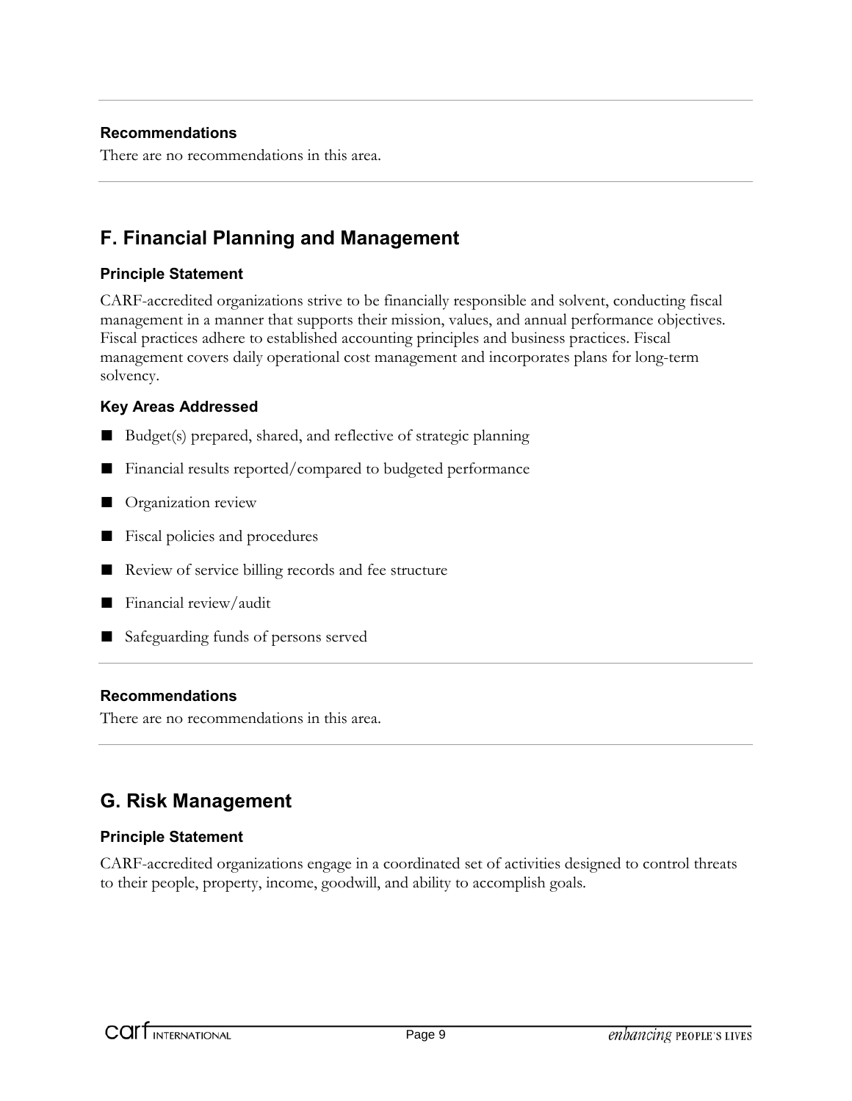### **Recommendations**

There are no recommendations in this area.

### **F. Financial Planning and Management**

#### **Principle Statement**

CARF-accredited organizations strive to be financially responsible and solvent, conducting fiscal management in a manner that supports their mission, values, and annual performance objectives. Fiscal practices adhere to established accounting principles and business practices. Fiscal management covers daily operational cost management and incorporates plans for long-term solvency.

### **Key Areas Addressed**

- Budget(s) prepared, shared, and reflective of strategic planning
- Financial results reported/compared to budgeted performance
- Organization review
- Fiscal policies and procedures
- Review of service billing records and fee structure
- Financial review/audit
- Safeguarding funds of persons served

#### **Recommendations**

There are no recommendations in this area.

### **G. Risk Management**

### **Principle Statement**

CARF-accredited organizations engage in a coordinated set of activities designed to control threats to their people, property, income, goodwill, and ability to accomplish goals.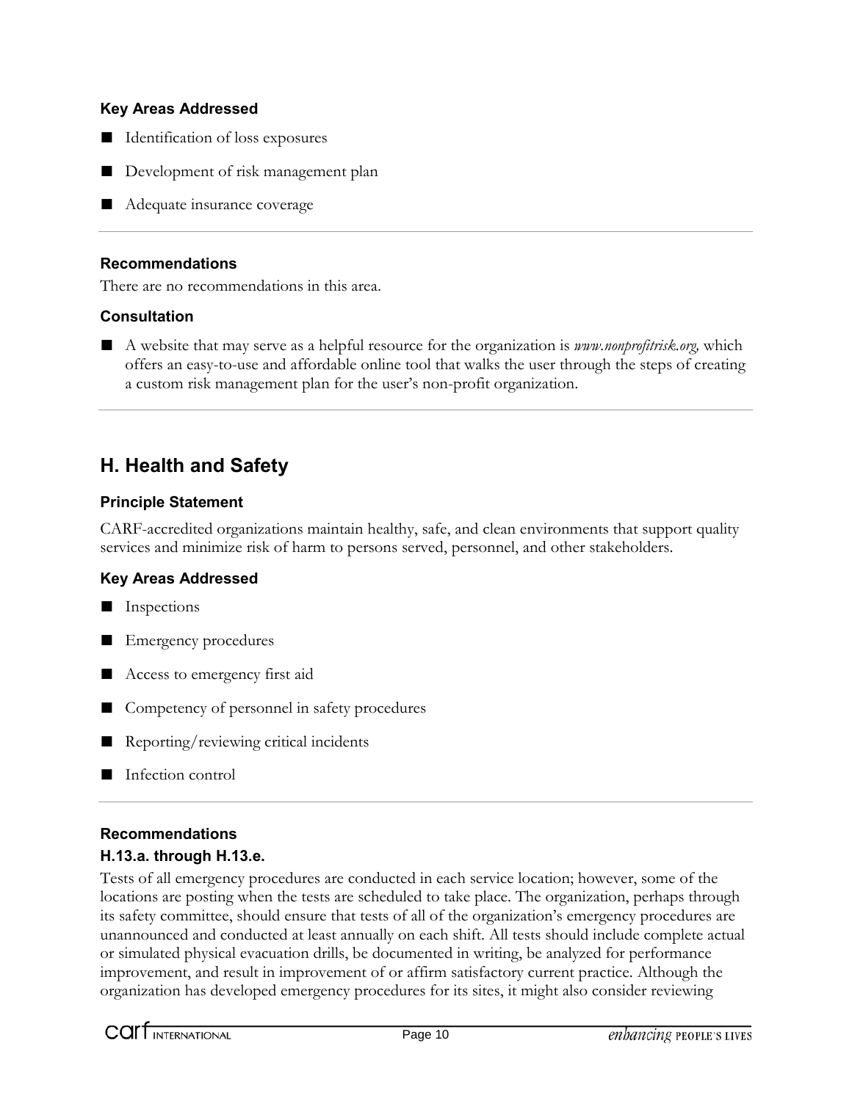- Identification of loss exposures
- Development of risk management plan
- Adequate insurance coverage

#### **Recommendations**

There are no recommendations in this area.

#### **Consultation**

■ A website that may serve as a helpful resource for the organization is *www.nonprofitrisk.org*, which offers an easy-to-use and affordable online tool that walks the user through the steps of creating a custom risk management plan for the user's non-profit organization.

### **H. Health and Safety**

### **Principle Statement**

CARF-accredited organizations maintain healthy, safe, and clean environments that support quality services and minimize risk of harm to persons served, personnel, and other stakeholders.

### **Key Areas Addressed**

- Inspections
- Emergency procedures
- Access to emergency first aid
- Competency of personnel in safety procedures
- Reporting/reviewing critical incidents
- Infection control

### **Recommendations**

### **H.13.a. through H.13.e.**

Tests of all emergency procedures are conducted in each service location; however, some of the locations are posting when the tests are scheduled to take place. The organization, perhaps through its safety committee, should ensure that tests of all of the organization's emergency procedures are unannounced and conducted at least annually on each shift. All tests should include complete actual or simulated physical evacuation drills, be documented in writing, be analyzed for performance improvement, and result in improvement of or affirm satisfactory current practice. Although the organization has developed emergency procedures for its sites, it might also consider reviewing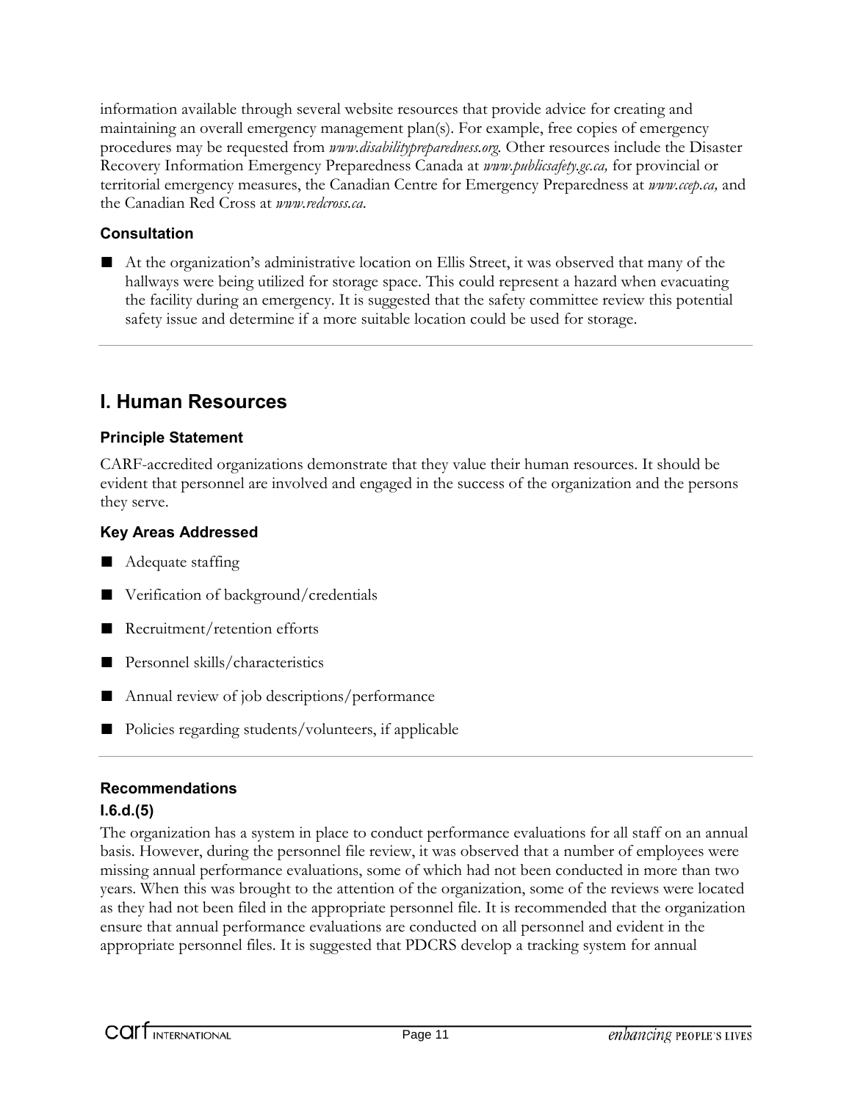information available through several website resources that provide advice for creating and maintaining an overall emergency management plan(s). For example, free copies of emergency procedures may be requested from *www.disabilitypreparedness.org.* Other resources include the Disaster Recovery Information Emergency Preparedness Canada at *www.publicsafety.gc.ca,* for provincial or territorial emergency measures, the Canadian Centre for Emergency Preparedness at *www.ccep.ca,* and the Canadian Red Cross at *www.redcross.ca*.

### **Consultation**

■ At the organization's administrative location on Ellis Street, it was observed that many of the hallways were being utilized for storage space. This could represent a hazard when evacuating the facility during an emergency. It is suggested that the safety committee review this potential safety issue and determine if a more suitable location could be used for storage.

### **I. Human Resources**

### **Principle Statement**

CARF-accredited organizations demonstrate that they value their human resources. It should be evident that personnel are involved and engaged in the success of the organization and the persons they serve.

### **Key Areas Addressed**

- Adequate staffing
- Verification of background/credentials
- Recruitment/retention efforts
- Personnel skills/characteristics
- Annual review of job descriptions/performance
- Policies regarding students/volunteers, if applicable

### **Recommendations**

### **I.6.d.(5)**

The organization has a system in place to conduct performance evaluations for all staff on an annual basis. However, during the personnel file review, it was observed that a number of employees were missing annual performance evaluations, some of which had not been conducted in more than two years. When this was brought to the attention of the organization, some of the reviews were located as they had not been filed in the appropriate personnel file. It is recommended that the organization ensure that annual performance evaluations are conducted on all personnel and evident in the appropriate personnel files. It is suggested that PDCRS develop a tracking system for annual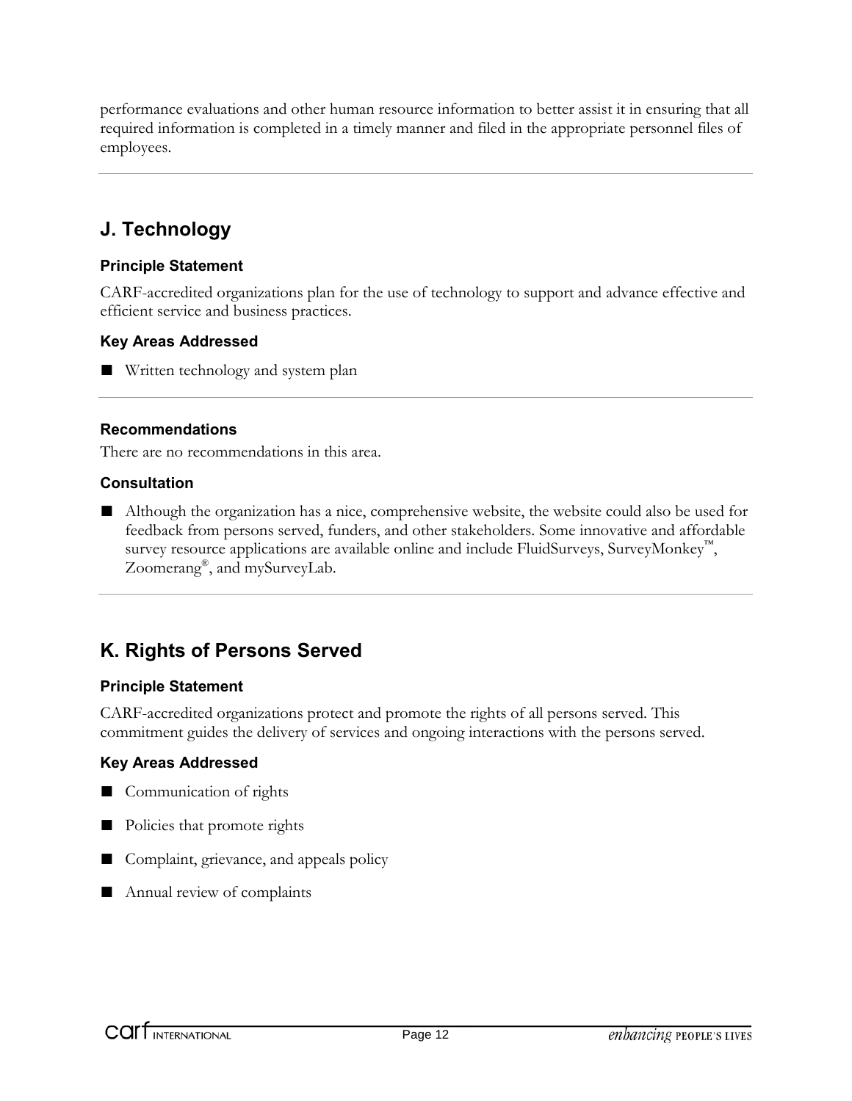performance evaluations and other human resource information to better assist it in ensuring that all required information is completed in a timely manner and filed in the appropriate personnel files of employees.

### **J. Technology**

### **Principle Statement**

CARF-accredited organizations plan for the use of technology to support and advance effective and efficient service and business practices.

### **Key Areas Addressed**

■ Written technology and system plan

### **Recommendations**

There are no recommendations in this area.

### **Consultation**

■ Although the organization has a nice, comprehensive website, the website could also be used for feedback from persons served, funders, and other stakeholders. Some innovative and affordable survey resource applications are available online and include FluidSurveys, SurveyMonkey<sup>™</sup>, Zoomerang<sup>®</sup>, and mySurveyLab.

### **K. Rights of Persons Served**

### **Principle Statement**

CARF-accredited organizations protect and promote the rights of all persons served. This commitment guides the delivery of services and ongoing interactions with the persons served.

### **Key Areas Addressed**

- Communication of rights
- Policies that promote rights
- Complaint, grievance, and appeals policy
- Annual review of complaints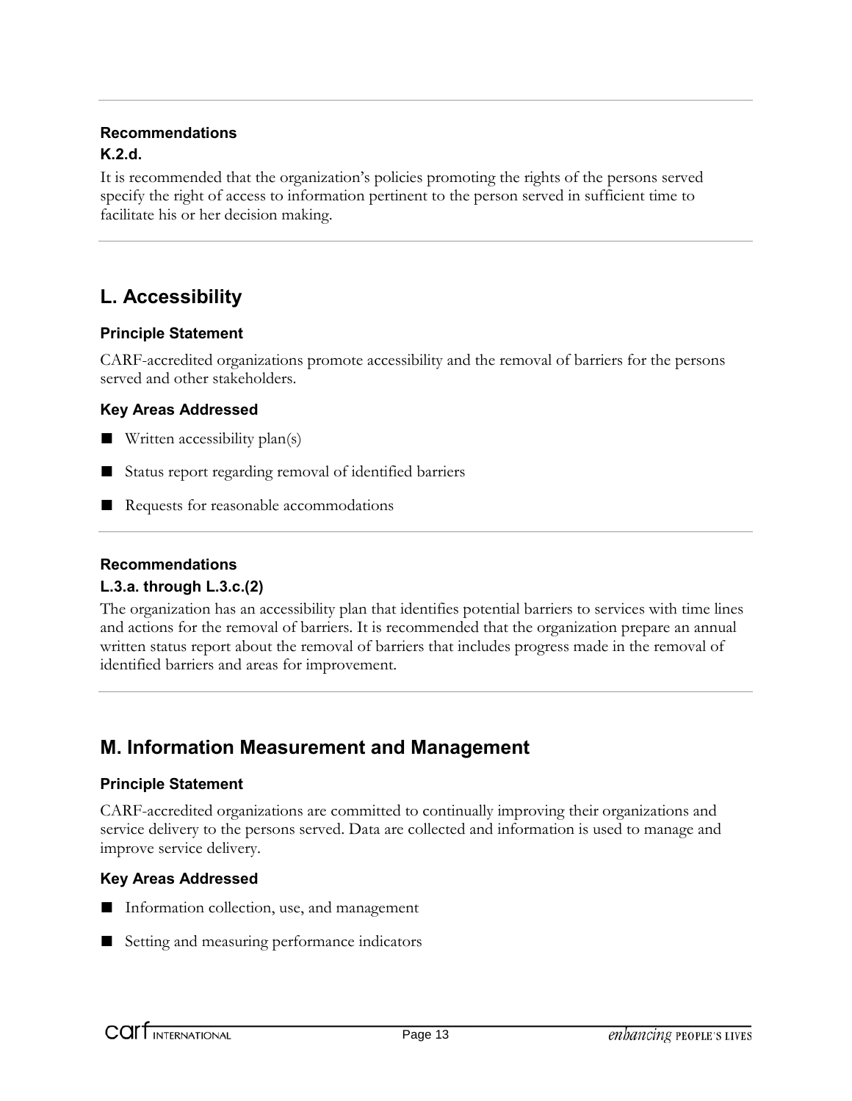### **Recommendations K.2.d.**

It is recommended that the organization's policies promoting the rights of the persons served specify the right of access to information pertinent to the person served in sufficient time to facilitate his or her decision making.

### **L. Accessibility**

### **Principle Statement**

CARF-accredited organizations promote accessibility and the removal of barriers for the persons served and other stakeholders.

### **Key Areas Addressed**

- $\blacksquare$  Written accessibility plan(s)
- Status report regarding removal of identified barriers
- Requests for reasonable accommodations

### **Recommendations**

### **L.3.a. through L.3.c.(2)**

The organization has an accessibility plan that identifies potential barriers to services with time lines and actions for the removal of barriers. It is recommended that the organization prepare an annual written status report about the removal of barriers that includes progress made in the removal of identified barriers and areas for improvement.

### **M. Information Measurement and Management**

### **Principle Statement**

CARF-accredited organizations are committed to continually improving their organizations and service delivery to the persons served. Data are collected and information is used to manage and improve service delivery.

### **Key Areas Addressed**

- Information collection, use, and management
- Setting and measuring performance indicators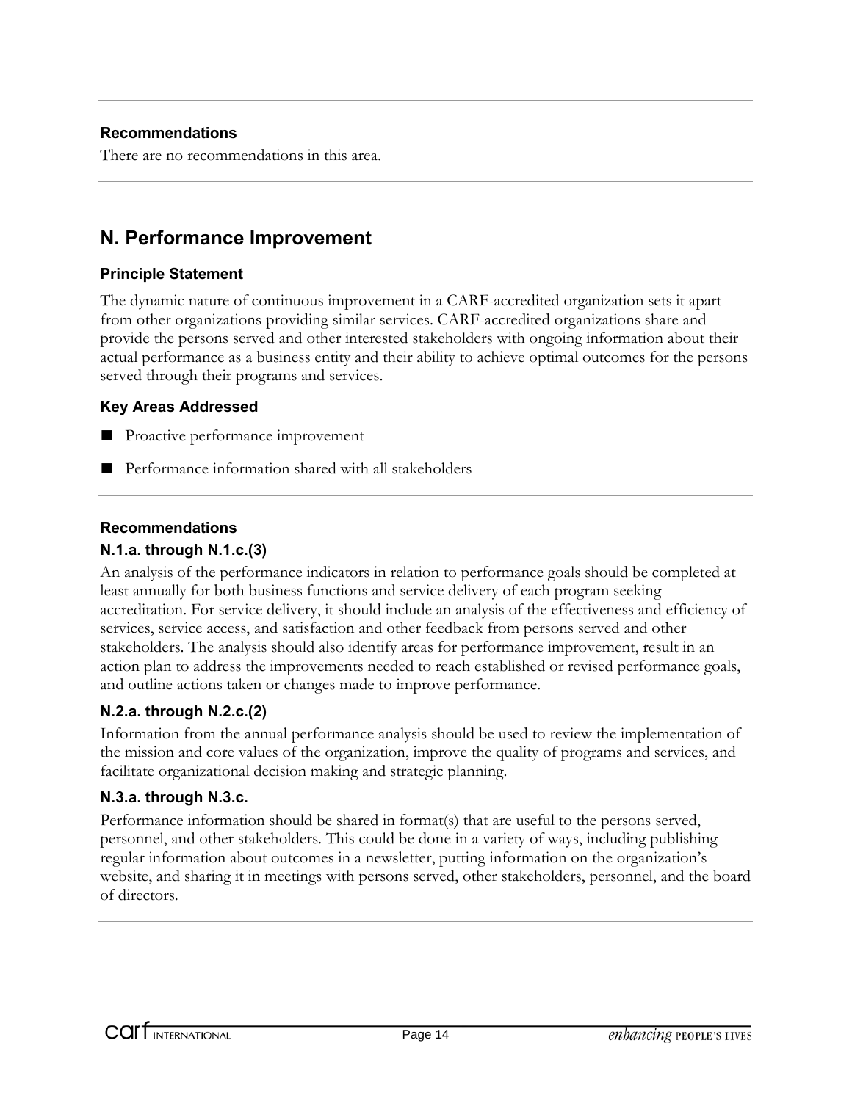### **Recommendations**

There are no recommendations in this area.

### **N. Performance Improvement**

#### **Principle Statement**

The dynamic nature of continuous improvement in a CARF-accredited organization sets it apart from other organizations providing similar services. CARF-accredited organizations share and provide the persons served and other interested stakeholders with ongoing information about their actual performance as a business entity and their ability to achieve optimal outcomes for the persons served through their programs and services.

#### **Key Areas Addressed**

- Proactive performance improvement
- Performance information shared with all stakeholders

#### **Recommendations N.1.a. through N.1.c.(3)**

An analysis of the performance indicators in relation to performance goals should be completed at least annually for both business functions and service delivery of each program seeking accreditation. For service delivery, it should include an analysis of the effectiveness and efficiency of services, service access, and satisfaction and other feedback from persons served and other stakeholders. The analysis should also identify areas for performance improvement, result in an action plan to address the improvements needed to reach established or revised performance goals, and outline actions taken or changes made to improve performance.

### **N.2.a. through N.2.c.(2)**

Information from the annual performance analysis should be used to review the implementation of the mission and core values of the organization, improve the quality of programs and services, and facilitate organizational decision making and strategic planning.

#### **N.3.a. through N.3.c.**

Performance information should be shared in format(s) that are useful to the persons served, personnel, and other stakeholders. This could be done in a variety of ways, including publishing regular information about outcomes in a newsletter, putting information on the organization's website, and sharing it in meetings with persons served, other stakeholders, personnel, and the board of directors.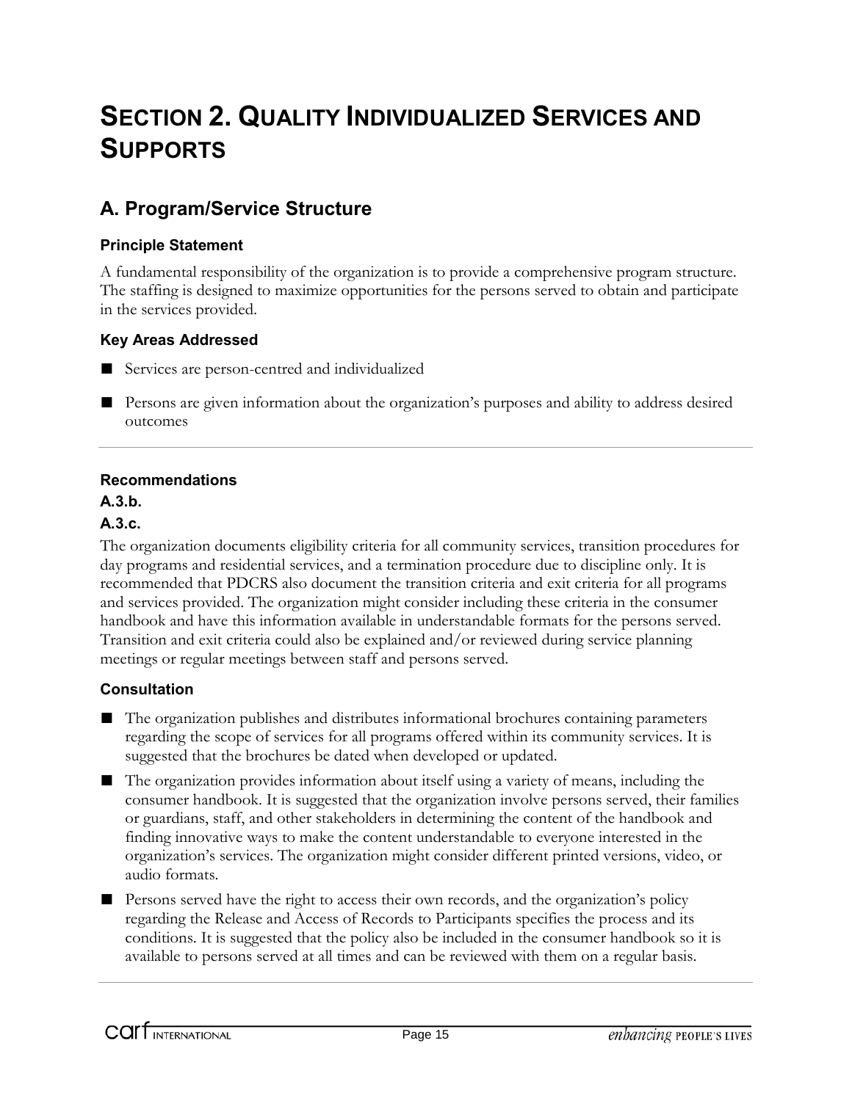# **SECTION 2. QUALITY INDIVIDUALIZED SERVICES AND SUPPORTS**

### **A. Program/Service Structure**

### **Principle Statement**

A fundamental responsibility of the organization is to provide a comprehensive program structure. The staffing is designed to maximize opportunities for the persons served to obtain and participate in the services provided.

### **Key Areas Addressed**

- Services are person-centred and individualized
- Persons are given information about the organization's purposes and ability to address desired outcomes

### **Recommendations**

### **A.3.b.**

### **A.3.c.**

The organization documents eligibility criteria for all community services, transition procedures for day programs and residential services, and a termination procedure due to discipline only. It is recommended that PDCRS also document the transition criteria and exit criteria for all programs and services provided. The organization might consider including these criteria in the consumer handbook and have this information available in understandable formats for the persons served. Transition and exit criteria could also be explained and/or reviewed during service planning meetings or regular meetings between staff and persons served.

### **Consultation**

- The organization publishes and distributes informational brochures containing parameters regarding the scope of services for all programs offered within its community services. It is suggested that the brochures be dated when developed or updated.
- The organization provides information about itself using a variety of means, including the consumer handbook. It is suggested that the organization involve persons served, their families or guardians, staff, and other stakeholders in determining the content of the handbook and finding innovative ways to make the content understandable to everyone interested in the organization's services. The organization might consider different printed versions, video, or audio formats.
- Persons served have the right to access their own records, and the organization's policy regarding the Release and Access of Records to Participants specifies the process and its conditions. It is suggested that the policy also be included in the consumer handbook so it is available to persons served at all times and can be reviewed with them on a regular basis.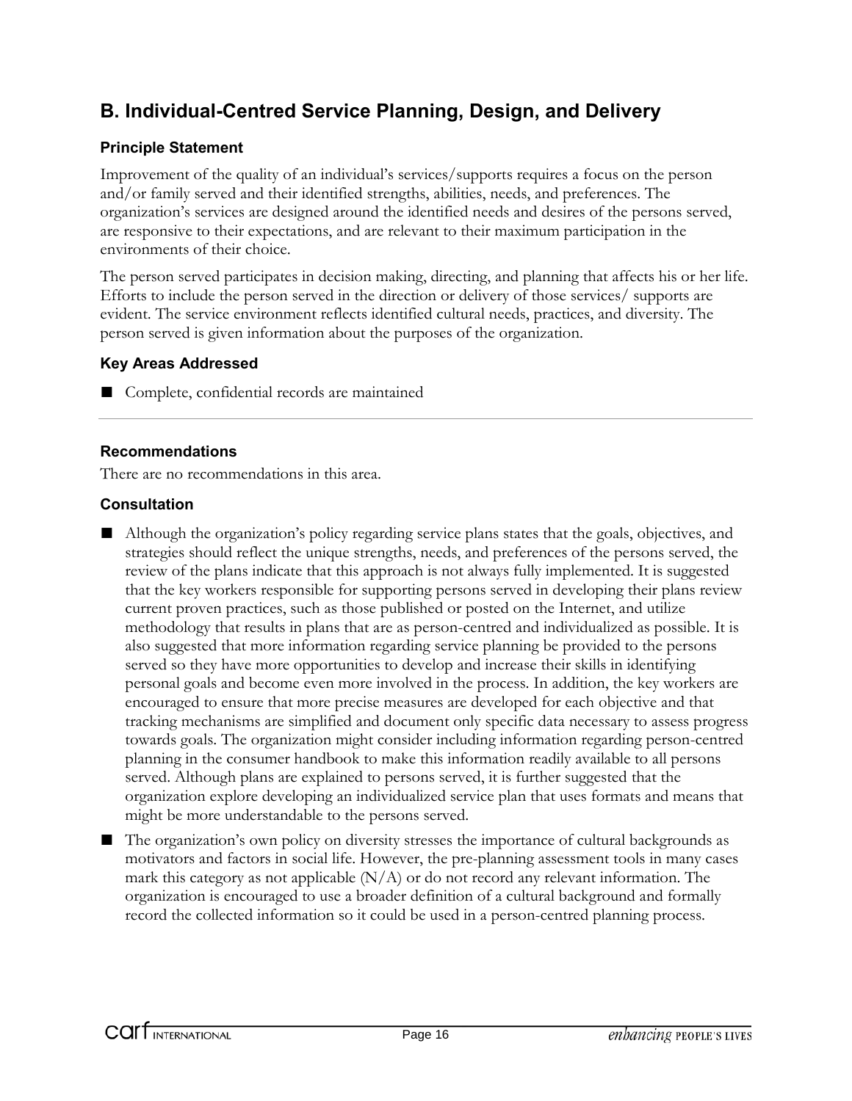### **B. Individual-Centred Service Planning, Design, and Delivery**

### **Principle Statement**

Improvement of the quality of an individual's services/supports requires a focus on the person and/or family served and their identified strengths, abilities, needs, and preferences. The organization's services are designed around the identified needs and desires of the persons served, are responsive to their expectations, and are relevant to their maximum participation in the environments of their choice.

The person served participates in decision making, directing, and planning that affects his or her life. Efforts to include the person served in the direction or delivery of those services/ supports are evident. The service environment reflects identified cultural needs, practices, and diversity. The person served is given information about the purposes of the organization.

### **Key Areas Addressed**

■ Complete, confidential records are maintained

### **Recommendations**

There are no recommendations in this area.

### **Consultation**

- Although the organization's policy regarding service plans states that the goals, objectives, and strategies should reflect the unique strengths, needs, and preferences of the persons served, the review of the plans indicate that this approach is not always fully implemented. It is suggested that the key workers responsible for supporting persons served in developing their plans review current proven practices, such as those published or posted on the Internet, and utilize methodology that results in plans that are as person-centred and individualized as possible. It is also suggested that more information regarding service planning be provided to the persons served so they have more opportunities to develop and increase their skills in identifying personal goals and become even more involved in the process. In addition, the key workers are encouraged to ensure that more precise measures are developed for each objective and that tracking mechanisms are simplified and document only specific data necessary to assess progress towards goals. The organization might consider including information regarding person-centred planning in the consumer handbook to make this information readily available to all persons served. Although plans are explained to persons served, it is further suggested that the organization explore developing an individualized service plan that uses formats and means that might be more understandable to the persons served.
- The organization's own policy on diversity stresses the importance of cultural backgrounds as motivators and factors in social life. However, the pre-planning assessment tools in many cases mark this category as not applicable  $(N/A)$  or do not record any relevant information. The organization is encouraged to use a broader definition of a cultural background and formally record the collected information so it could be used in a person-centred planning process.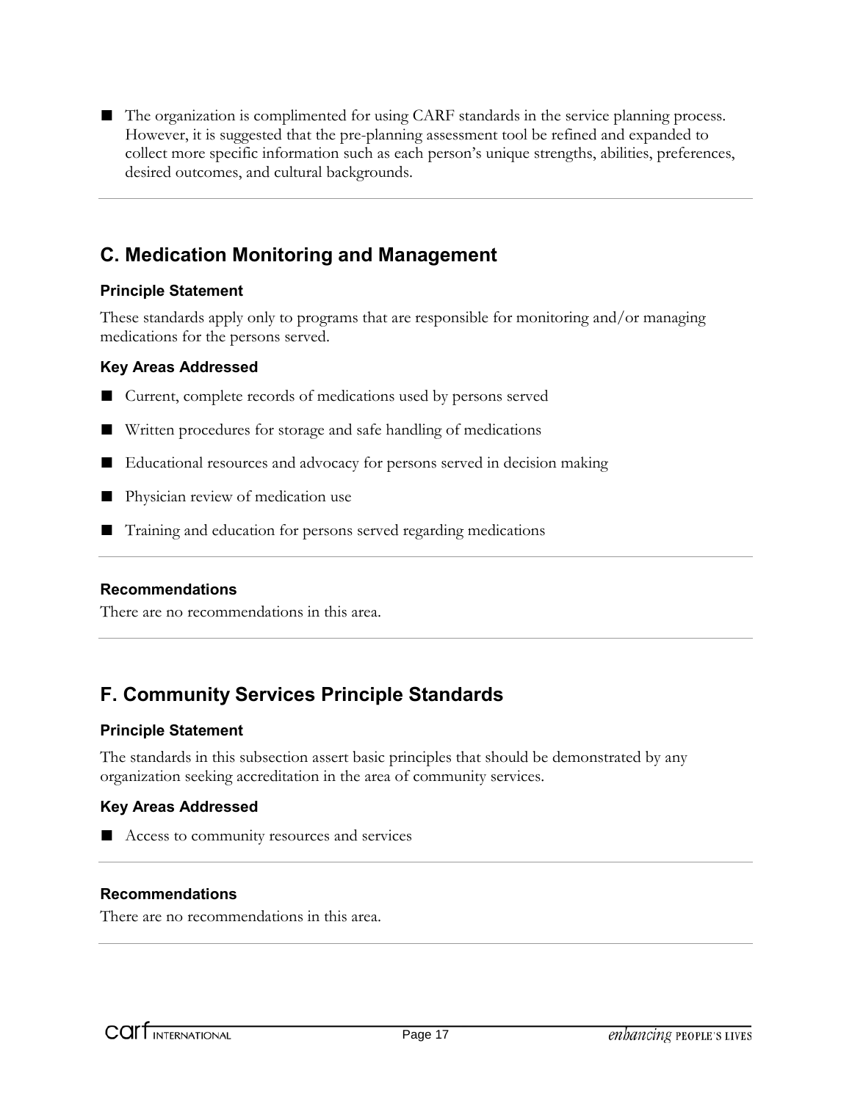■ The organization is complimented for using CARF standards in the service planning process. However, it is suggested that the pre-planning assessment tool be refined and expanded to collect more specific information such as each person's unique strengths, abilities, preferences, desired outcomes, and cultural backgrounds.

### **C. Medication Monitoring and Management**

### **Principle Statement**

These standards apply only to programs that are responsible for monitoring and/or managing medications for the persons served.

#### **Key Areas Addressed**

- Current, complete records of medications used by persons served
- Written procedures for storage and safe handling of medications
- Educational resources and advocacy for persons served in decision making
- Physician review of medication use
- Training and education for persons served regarding medications

### **Recommendations**

There are no recommendations in this area.

### **F. Community Services Principle Standards**

### **Principle Statement**

The standards in this subsection assert basic principles that should be demonstrated by any organization seeking accreditation in the area of community services.

### **Key Areas Addressed**

■ Access to community resources and services

#### **Recommendations**

There are no recommendations in this area.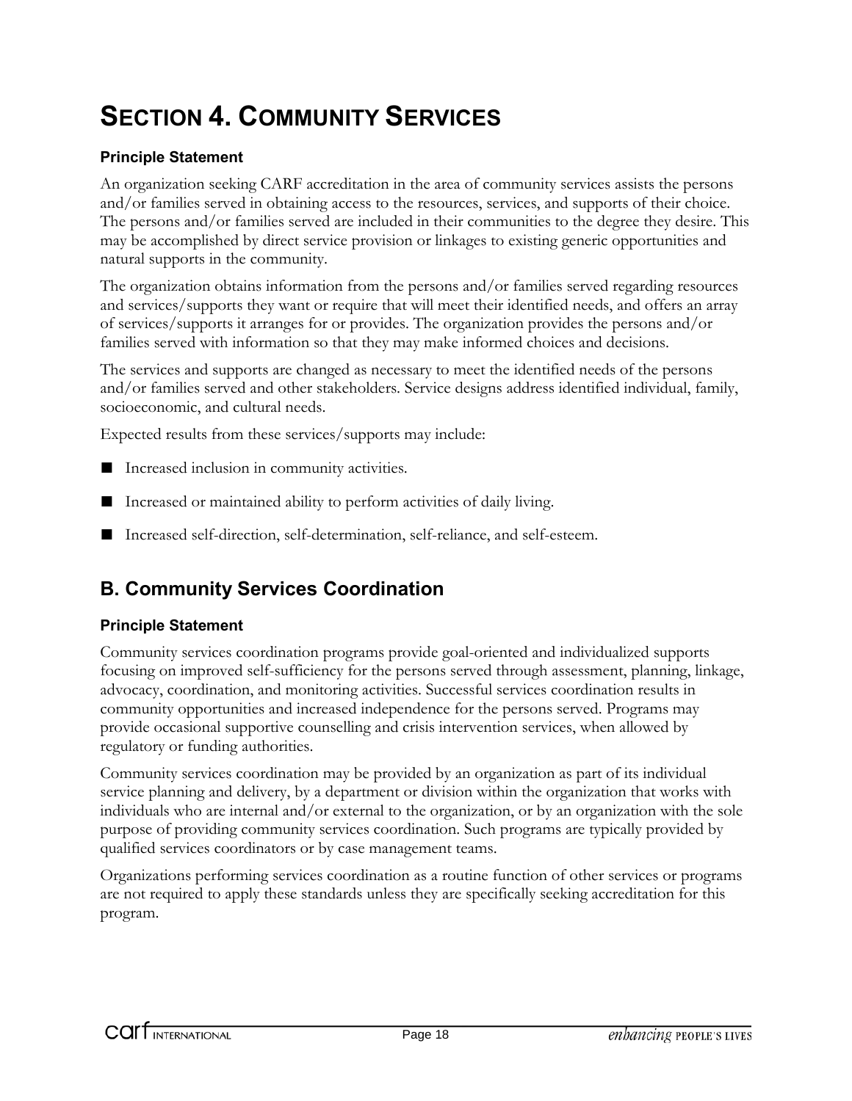# **SECTION 4. COMMUNITY SERVICES**

### **Principle Statement**

An organization seeking CARF accreditation in the area of community services assists the persons and/or families served in obtaining access to the resources, services, and supports of their choice. The persons and/or families served are included in their communities to the degree they desire. This may be accomplished by direct service provision or linkages to existing generic opportunities and natural supports in the community.

The organization obtains information from the persons and/or families served regarding resources and services/supports they want or require that will meet their identified needs, and offers an array of services/supports it arranges for or provides. The organization provides the persons and/or families served with information so that they may make informed choices and decisions.

The services and supports are changed as necessary to meet the identified needs of the persons and/or families served and other stakeholders. Service designs address identified individual, family, socioeconomic, and cultural needs.

Expected results from these services/supports may include:

- Increased inclusion in community activities.
- Increased or maintained ability to perform activities of daily living.
- Increased self-direction, self-determination, self-reliance, and self-esteem.

### **B. Community Services Coordination**

### **Principle Statement**

Community services coordination programs provide goal-oriented and individualized supports focusing on improved self-sufficiency for the persons served through assessment, planning, linkage, advocacy, coordination, and monitoring activities. Successful services coordination results in community opportunities and increased independence for the persons served. Programs may provide occasional supportive counselling and crisis intervention services, when allowed by regulatory or funding authorities.

Community services coordination may be provided by an organization as part of its individual service planning and delivery, by a department or division within the organization that works with individuals who are internal and/or external to the organization, or by an organization with the sole purpose of providing community services coordination. Such programs are typically provided by qualified services coordinators or by case management teams.

Organizations performing services coordination as a routine function of other services or programs are not required to apply these standards unless they are specifically seeking accreditation for this program.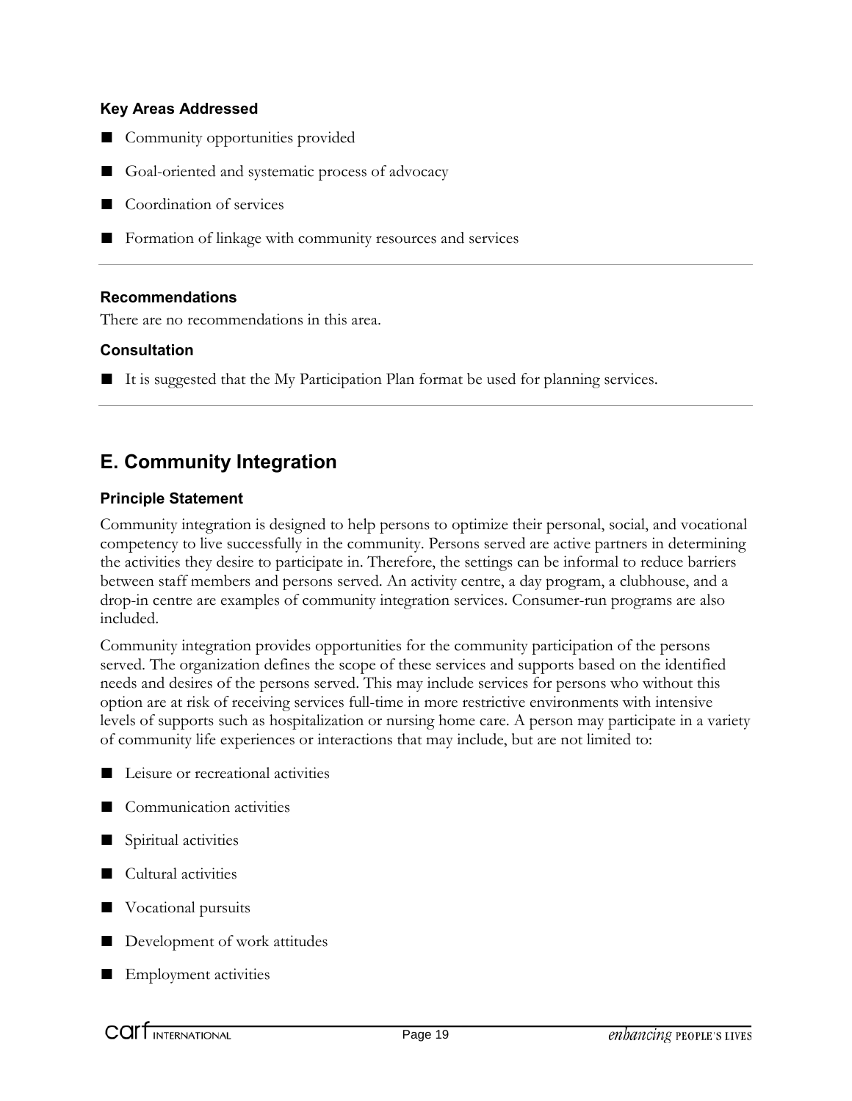- Community opportunities provided
- Goal-oriented and systematic process of advocacy
- Coordination of services
- Formation of linkage with community resources and services

#### **Recommendations**

There are no recommendations in this area.

#### **Consultation**

■ It is suggested that the My Participation Plan format be used for planning services.

### **E. Community Integration**

#### **Principle Statement**

Community integration is designed to help persons to optimize their personal, social, and vocational competency to live successfully in the community. Persons served are active partners in determining the activities they desire to participate in. Therefore, the settings can be informal to reduce barriers between staff members and persons served. An activity centre, a day program, a clubhouse, and a drop-in centre are examples of community integration services. Consumer-run programs are also included.

Community integration provides opportunities for the community participation of the persons served. The organization defines the scope of these services and supports based on the identified needs and desires of the persons served. This may include services for persons who without this option are at risk of receiving services full-time in more restrictive environments with intensive levels of supports such as hospitalization or nursing home care. A person may participate in a variety of community life experiences or interactions that may include, but are not limited to:

- Leisure or recreational activities
- Communication activities
- Spiritual activities
- Cultural activities
- Vocational pursuits
- Development of work attitudes
- Employment activities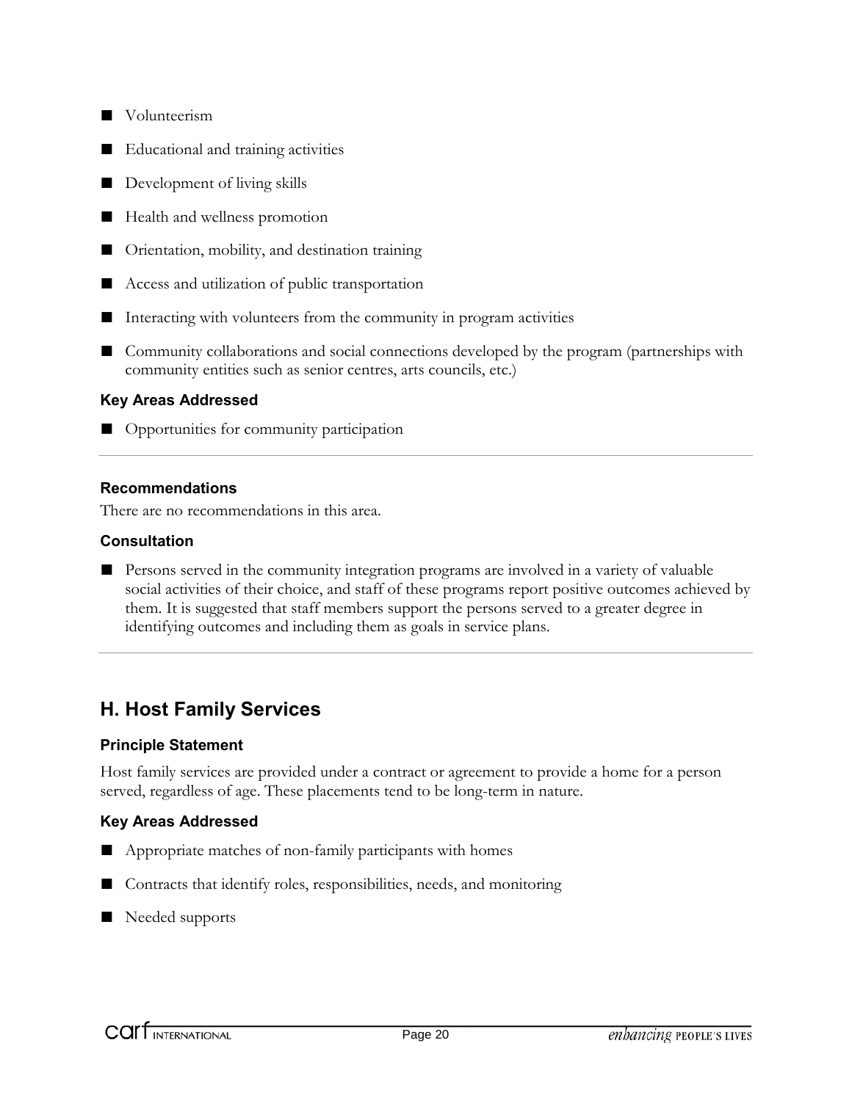- Volunteerism
- Educational and training activities
- Development of living skills
- Health and wellness promotion
- Orientation, mobility, and destination training
- Access and utilization of public transportation
- Interacting with volunteers from the community in program activities
- Community collaborations and social connections developed by the program (partnerships with community entities such as senior centres, arts councils, etc.)

■ Opportunities for community participation

#### **Recommendations**

There are no recommendations in this area.

#### **Consultation**

■ Persons served in the community integration programs are involved in a variety of valuable social activities of their choice, and staff of these programs report positive outcomes achieved by them. It is suggested that staff members support the persons served to a greater degree in identifying outcomes and including them as goals in service plans.

### **H. Host Family Services**

#### **Principle Statement**

Host family services are provided under a contract or agreement to provide a home for a person served, regardless of age. These placements tend to be long-term in nature.

#### **Key Areas Addressed**

- Appropriate matches of non-family participants with homes
- Contracts that identify roles, responsibilities, needs, and monitoring
- Needed supports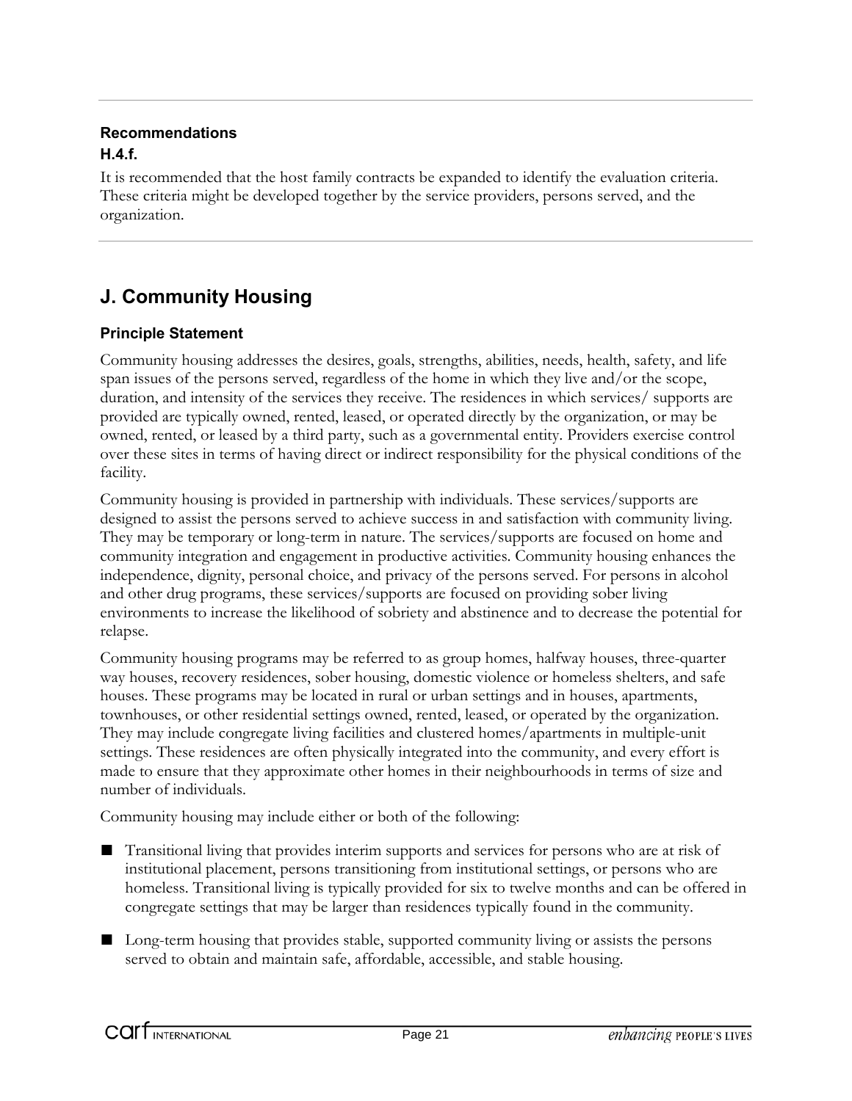### **Recommendations H.4.f.**

It is recommended that the host family contracts be expanded to identify the evaluation criteria. These criteria might be developed together by the service providers, persons served, and the organization.

### **J. Community Housing**

### **Principle Statement**

Community housing addresses the desires, goals, strengths, abilities, needs, health, safety, and life span issues of the persons served, regardless of the home in which they live and/or the scope, duration, and intensity of the services they receive. The residences in which services/ supports are provided are typically owned, rented, leased, or operated directly by the organization, or may be owned, rented, or leased by a third party, such as a governmental entity. Providers exercise control over these sites in terms of having direct or indirect responsibility for the physical conditions of the facility.

Community housing is provided in partnership with individuals. These services/supports are designed to assist the persons served to achieve success in and satisfaction with community living. They may be temporary or long-term in nature. The services/supports are focused on home and community integration and engagement in productive activities. Community housing enhances the independence, dignity, personal choice, and privacy of the persons served. For persons in alcohol and other drug programs, these services/supports are focused on providing sober living environments to increase the likelihood of sobriety and abstinence and to decrease the potential for relapse.

Community housing programs may be referred to as group homes, halfway houses, three-quarter way houses, recovery residences, sober housing, domestic violence or homeless shelters, and safe houses. These programs may be located in rural or urban settings and in houses, apartments, townhouses, or other residential settings owned, rented, leased, or operated by the organization. They may include congregate living facilities and clustered homes/apartments in multiple-unit settings. These residences are often physically integrated into the community, and every effort is made to ensure that they approximate other homes in their neighbourhoods in terms of size and number of individuals.

Community housing may include either or both of the following:

- Transitional living that provides interim supports and services for persons who are at risk of institutional placement, persons transitioning from institutional settings, or persons who are homeless. Transitional living is typically provided for six to twelve months and can be offered in congregate settings that may be larger than residences typically found in the community.
- Long-term housing that provides stable, supported community living or assists the persons served to obtain and maintain safe, affordable, accessible, and stable housing.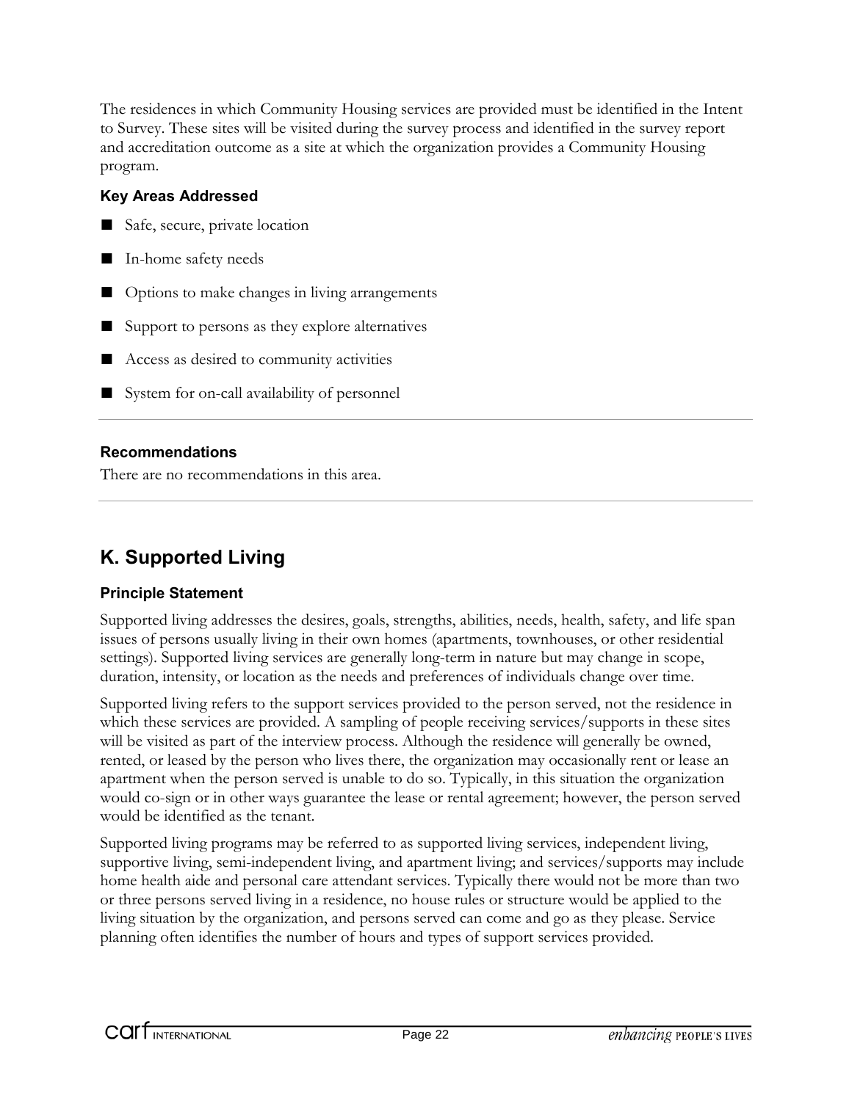The residences in which Community Housing services are provided must be identified in the Intent to Survey. These sites will be visited during the survey process and identified in the survey report and accreditation outcome as a site at which the organization provides a Community Housing program.

### **Key Areas Addressed**

- Safe, secure, private location
- In-home safety needs
- Options to make changes in living arrangements
- Support to persons as they explore alternatives
- Access as desired to community activities
- System for on-call availability of personnel

### **Recommendations**

There are no recommendations in this area.

### **K. Supported Living**

### **Principle Statement**

Supported living addresses the desires, goals, strengths, abilities, needs, health, safety, and life span issues of persons usually living in their own homes (apartments, townhouses, or other residential settings). Supported living services are generally long-term in nature but may change in scope, duration, intensity, or location as the needs and preferences of individuals change over time.

Supported living refers to the support services provided to the person served, not the residence in which these services are provided. A sampling of people receiving services/supports in these sites will be visited as part of the interview process. Although the residence will generally be owned, rented, or leased by the person who lives there, the organization may occasionally rent or lease an apartment when the person served is unable to do so. Typically, in this situation the organization would co-sign or in other ways guarantee the lease or rental agreement; however, the person served would be identified as the tenant.

Supported living programs may be referred to as supported living services, independent living, supportive living, semi-independent living, and apartment living; and services/supports may include home health aide and personal care attendant services. Typically there would not be more than two or three persons served living in a residence, no house rules or structure would be applied to the living situation by the organization, and persons served can come and go as they please. Service planning often identifies the number of hours and types of support services provided.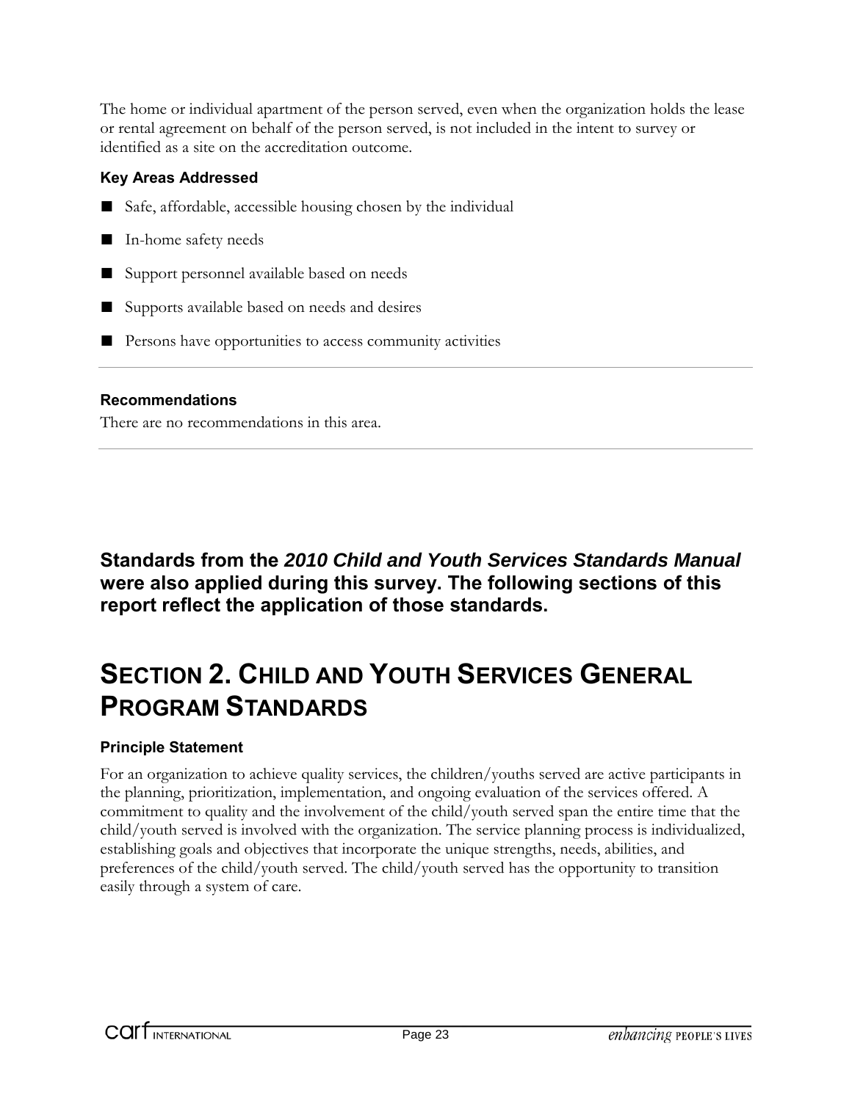The home or individual apartment of the person served, even when the organization holds the lease or rental agreement on behalf of the person served, is not included in the intent to survey or identified as a site on the accreditation outcome.

### **Key Areas Addressed**

- Safe, affordable, accessible housing chosen by the individual
- In-home safety needs
- Support personnel available based on needs
- Supports available based on needs and desires
- Persons have opportunities to access community activities

### **Recommendations**

There are no recommendations in this area.

**Standards from the** *2010 Child and Youth Services Standards Manual* **were also applied during this survey. The following sections of this report reflect the application of those standards.**

# **SECTION 2. CHILD AND YOUTH SERVICES GENERAL PROGRAM STANDARDS**

### **Principle Statement**

For an organization to achieve quality services, the children/youths served are active participants in the planning, prioritization, implementation, and ongoing evaluation of the services offered. A commitment to quality and the involvement of the child/youth served span the entire time that the child/youth served is involved with the organization. The service planning process is individualized, establishing goals and objectives that incorporate the unique strengths, needs, abilities, and preferences of the child/youth served. The child/youth served has the opportunity to transition easily through a system of care.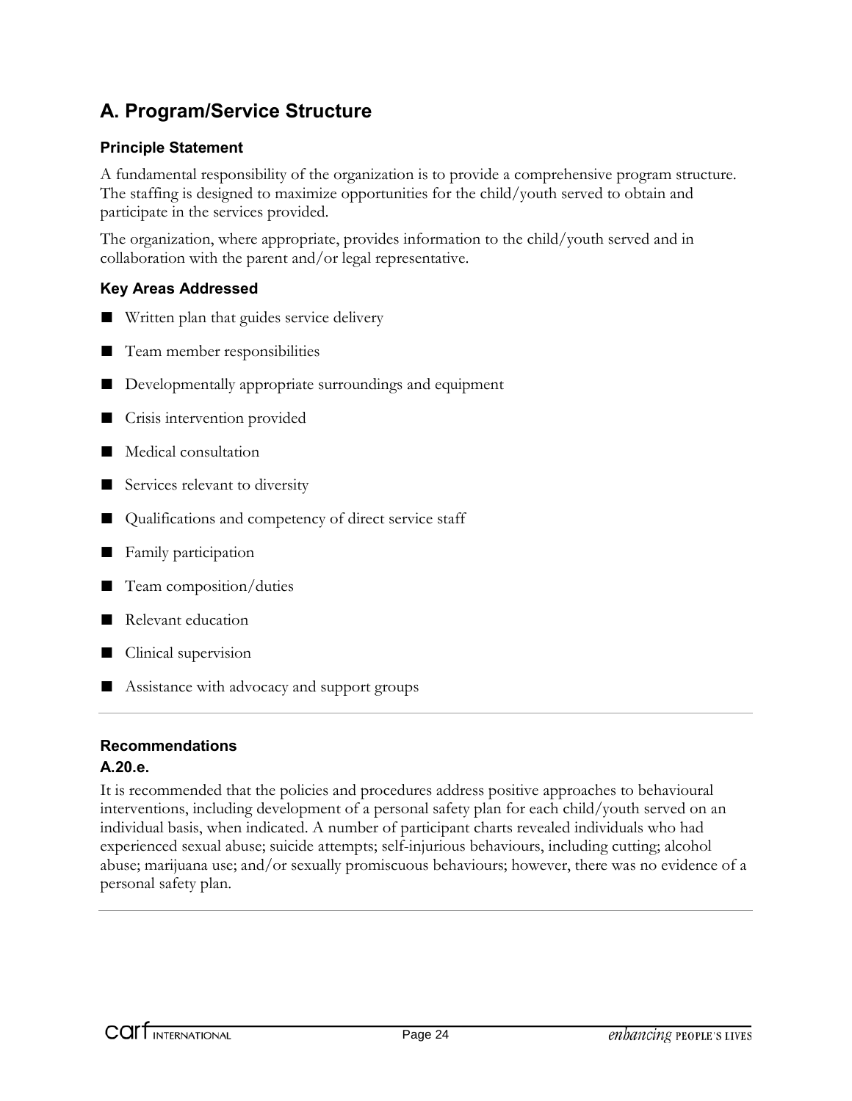### **A. Program/Service Structure**

### **Principle Statement**

A fundamental responsibility of the organization is to provide a comprehensive program structure. The staffing is designed to maximize opportunities for the child/youth served to obtain and participate in the services provided.

The organization, where appropriate, provides information to the child/youth served and in collaboration with the parent and/or legal representative.

### **Key Areas Addressed**

- Written plan that guides service delivery
- Team member responsibilities
- Developmentally appropriate surroundings and equipment
- Crisis intervention provided
- Medical consultation
- Services relevant to diversity
- Qualifications and competency of direct service staff
- Family participation
- Team composition/duties
- Relevant education
- Clinical supervision
- Assistance with advocacy and support groups

### **Recommendations**

#### **A.20.e.**

It is recommended that the policies and procedures address positive approaches to behavioural interventions, including development of a personal safety plan for each child/youth served on an individual basis, when indicated. A number of participant charts revealed individuals who had experienced sexual abuse; suicide attempts; self-injurious behaviours, including cutting; alcohol abuse; marijuana use; and/or sexually promiscuous behaviours; however, there was no evidence of a personal safety plan.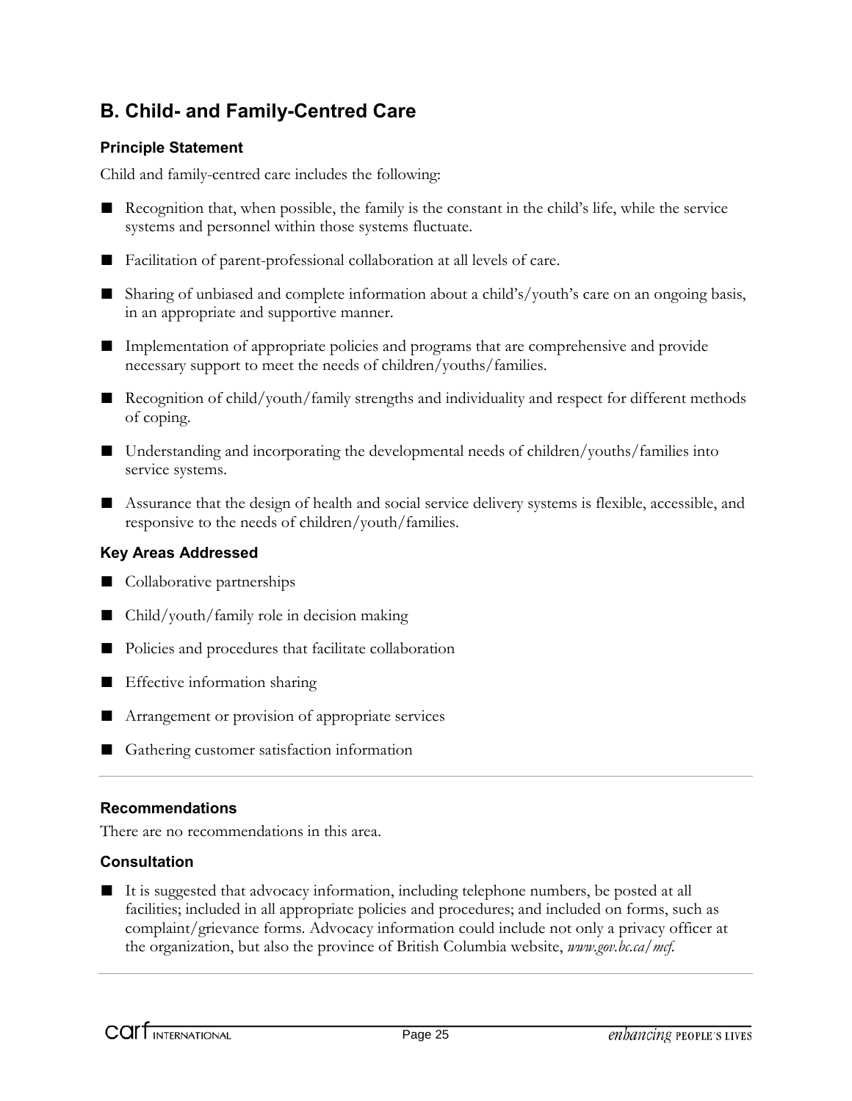### **B. Child- and Family-Centred Care**

### **Principle Statement**

Child and family-centred care includes the following:

- Recognition that, when possible, the family is the constant in the child's life, while the service systems and personnel within those systems fluctuate.
- Facilitation of parent-professional collaboration at all levels of care.
- Sharing of unbiased and complete information about a child's/youth's care on an ongoing basis, in an appropriate and supportive manner.
- Implementation of appropriate policies and programs that are comprehensive and provide necessary support to meet the needs of children/youths/families.
- Recognition of child/youth/family strengths and individuality and respect for different methods of coping.
- Understanding and incorporating the developmental needs of children/youths/families into service systems.
- Assurance that the design of health and social service delivery systems is flexible, accessible, and responsive to the needs of children/youth/families.

#### **Key Areas Addressed**

- Collaborative partnerships
- Child/youth/family role in decision making
- Policies and procedures that facilitate collaboration
- Effective information sharing
- Arrangement or provision of appropriate services
- Gathering customer satisfaction information

#### **Recommendations**

There are no recommendations in this area.

#### **Consultation**

■ It is suggested that advocacy information, including telephone numbers, be posted at all facilities; included in all appropriate policies and procedures; and included on forms, such as complaint/grievance forms. Advocacy information could include not only a privacy officer at the organization, but also the province of British Columbia website, *www.gov.bc.ca/mcf.*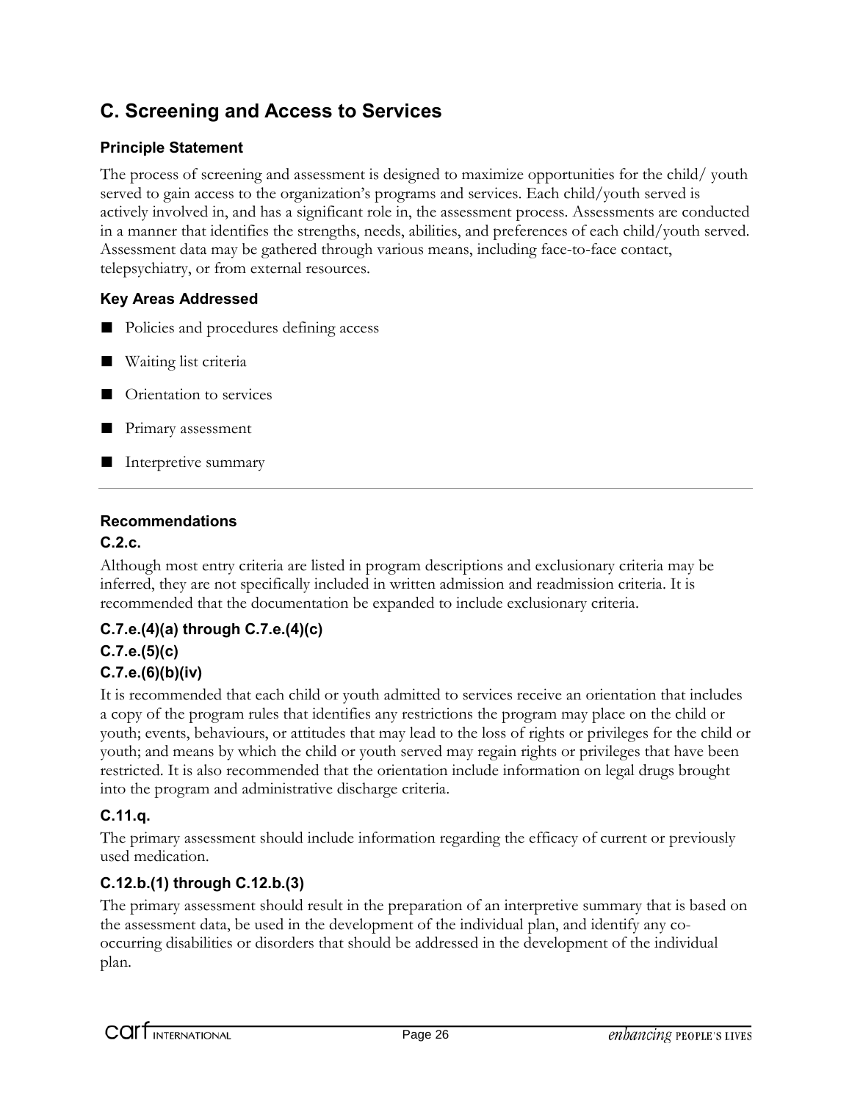### **C. Screening and Access to Services**

### **Principle Statement**

The process of screening and assessment is designed to maximize opportunities for the child/ youth served to gain access to the organization's programs and services. Each child/youth served is actively involved in, and has a significant role in, the assessment process. Assessments are conducted in a manner that identifies the strengths, needs, abilities, and preferences of each child/youth served. Assessment data may be gathered through various means, including face-to-face contact, telepsychiatry, or from external resources.

### **Key Areas Addressed**

- Policies and procedures defining access
- Waiting list criteria
- Orientation to services
- Primary assessment
- Interpretive summary

### **Recommendations**

### **C.2.c.**

Although most entry criteria are listed in program descriptions and exclusionary criteria may be inferred, they are not specifically included in written admission and readmission criteria. It is recommended that the documentation be expanded to include exclusionary criteria.

### **C.7.e.(4)(a) through C.7.e.(4)(c)**

### **C.7.e.(5)(c)**

### **C.7.e.(6)(b)(iv)**

It is recommended that each child or youth admitted to services receive an orientation that includes a copy of the program rules that identifies any restrictions the program may place on the child or youth; events, behaviours, or attitudes that may lead to the loss of rights or privileges for the child or youth; and means by which the child or youth served may regain rights or privileges that have been restricted. It is also recommended that the orientation include information on legal drugs brought into the program and administrative discharge criteria.

### **C.11.q.**

The primary assessment should include information regarding the efficacy of current or previously used medication.

### **C.12.b.(1) through C.12.b.(3)**

The primary assessment should result in the preparation of an interpretive summary that is based on the assessment data, be used in the development of the individual plan, and identify any cooccurring disabilities or disorders that should be addressed in the development of the individual plan.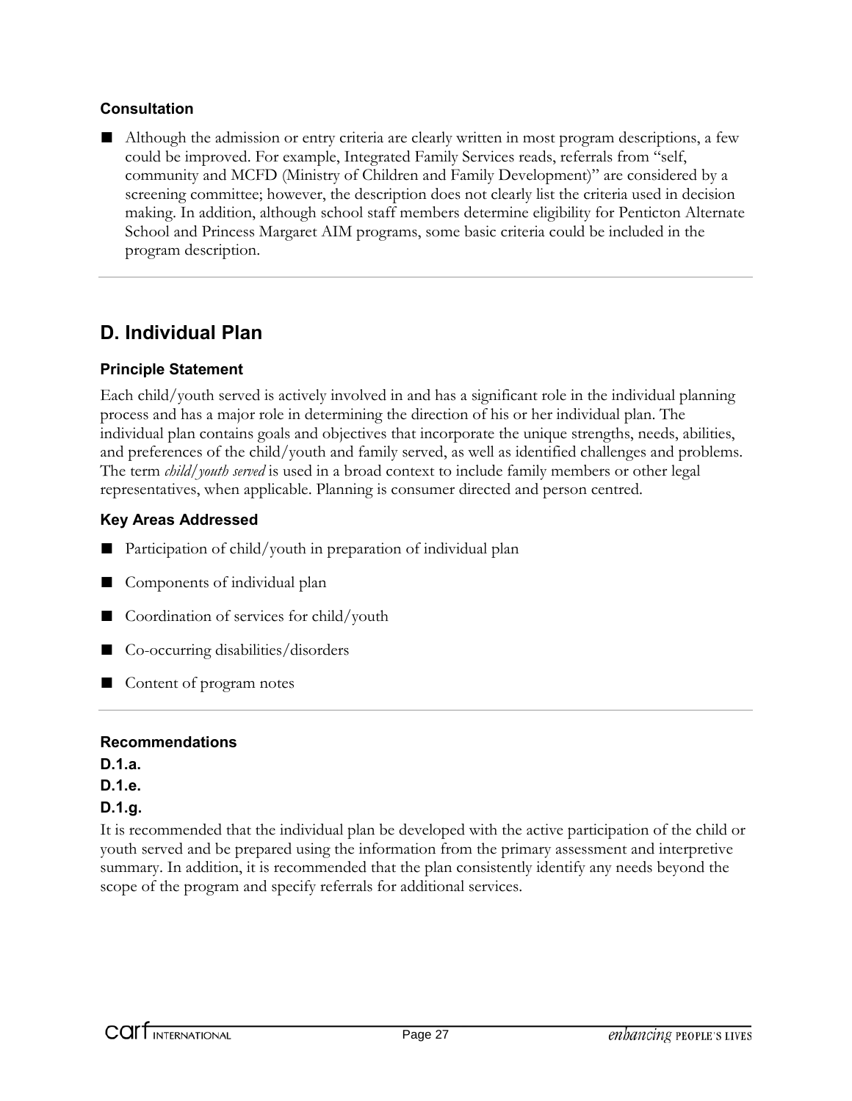### **Consultation**

■ Although the admission or entry criteria are clearly written in most program descriptions, a few could be improved. For example, Integrated Family Services reads, referrals from "self, community and MCFD (Ministry of Children and Family Development)" are considered by a screening committee; however, the description does not clearly list the criteria used in decision making. In addition, although school staff members determine eligibility for Penticton Alternate School and Princess Margaret AIM programs, some basic criteria could be included in the program description.

### **D. Individual Plan**

### **Principle Statement**

Each child/youth served is actively involved in and has a significant role in the individual planning process and has a major role in determining the direction of his or her individual plan. The individual plan contains goals and objectives that incorporate the unique strengths, needs, abilities, and preferences of the child/youth and family served, as well as identified challenges and problems. The term *child/youth served* is used in a broad context to include family members or other legal representatives, when applicable. Planning is consumer directed and person centred.

### **Key Areas Addressed**

- Participation of child/youth in preparation of individual plan
- Components of individual plan
- Coordination of services for child/youth
- Co-occurring disabilities/disorders
- Content of program notes

### **Recommendations**

**D.1.a. D.1.e.**

### **D.1.g.**

It is recommended that the individual plan be developed with the active participation of the child or youth served and be prepared using the information from the primary assessment and interpretive summary. In addition, it is recommended that the plan consistently identify any needs beyond the scope of the program and specify referrals for additional services.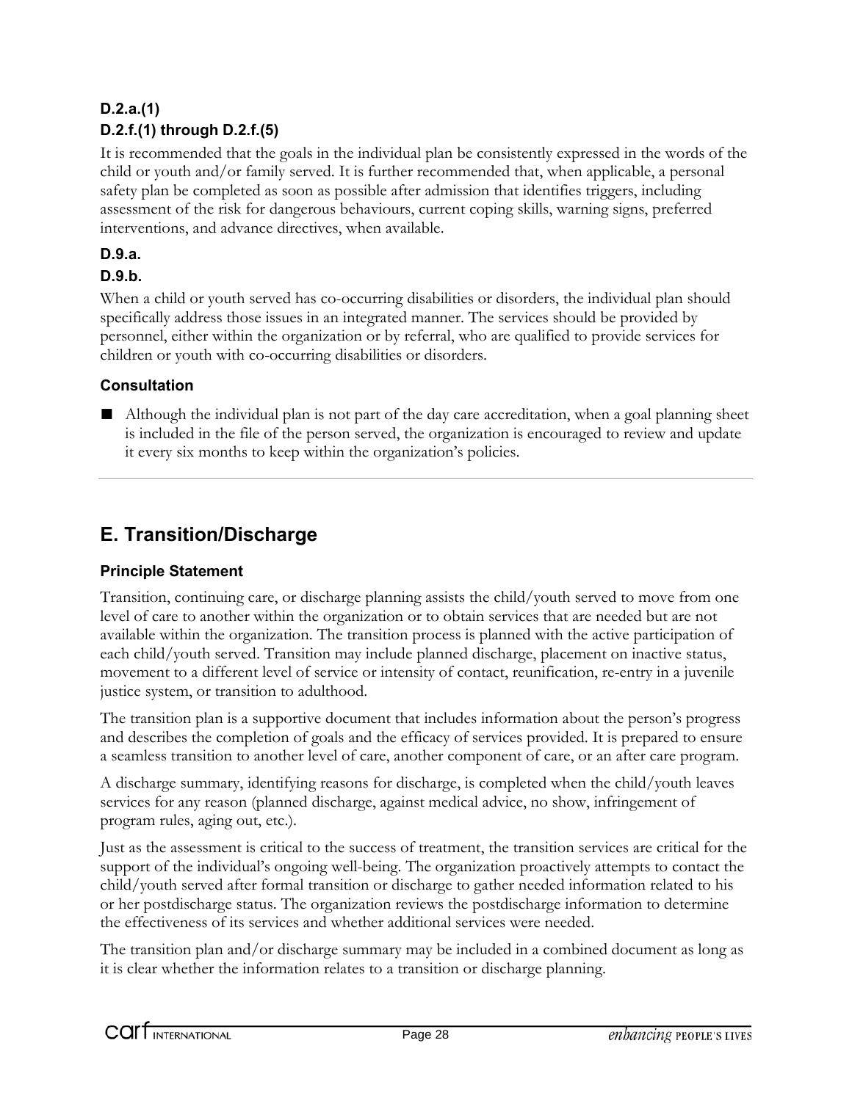### **D.2.a.(1) D.2.f.(1) through D.2.f.(5)**

It is recommended that the goals in the individual plan be consistently expressed in the words of the child or youth and/or family served. It is further recommended that, when applicable, a personal safety plan be completed as soon as possible after admission that identifies triggers, including assessment of the risk for dangerous behaviours, current coping skills, warning signs, preferred interventions, and advance directives, when available.

### **D.9.a.**

### **D.9.b.**

When a child or youth served has co-occurring disabilities or disorders, the individual plan should specifically address those issues in an integrated manner. The services should be provided by personnel, either within the organization or by referral, who are qualified to provide services for children or youth with co-occurring disabilities or disorders.

### **Consultation**

■ Although the individual plan is not part of the day care accreditation, when a goal planning sheet is included in the file of the person served, the organization is encouraged to review and update it every six months to keep within the organization's policies.

### **E. Transition/Discharge**

### **Principle Statement**

Transition, continuing care, or discharge planning assists the child/youth served to move from one level of care to another within the organization or to obtain services that are needed but are not available within the organization. The transition process is planned with the active participation of each child/youth served. Transition may include planned discharge, placement on inactive status, movement to a different level of service or intensity of contact, reunification, re-entry in a juvenile justice system, or transition to adulthood.

The transition plan is a supportive document that includes information about the person's progress and describes the completion of goals and the efficacy of services provided. It is prepared to ensure a seamless transition to another level of care, another component of care, or an after care program.

A discharge summary, identifying reasons for discharge, is completed when the child/youth leaves services for any reason (planned discharge, against medical advice, no show, infringement of program rules, aging out, etc.).

Just as the assessment is critical to the success of treatment, the transition services are critical for the support of the individual's ongoing well-being. The organization proactively attempts to contact the child/youth served after formal transition or discharge to gather needed information related to his or her postdischarge status. The organization reviews the postdischarge information to determine the effectiveness of its services and whether additional services were needed.

The transition plan and/or discharge summary may be included in a combined document as long as it is clear whether the information relates to a transition or discharge planning.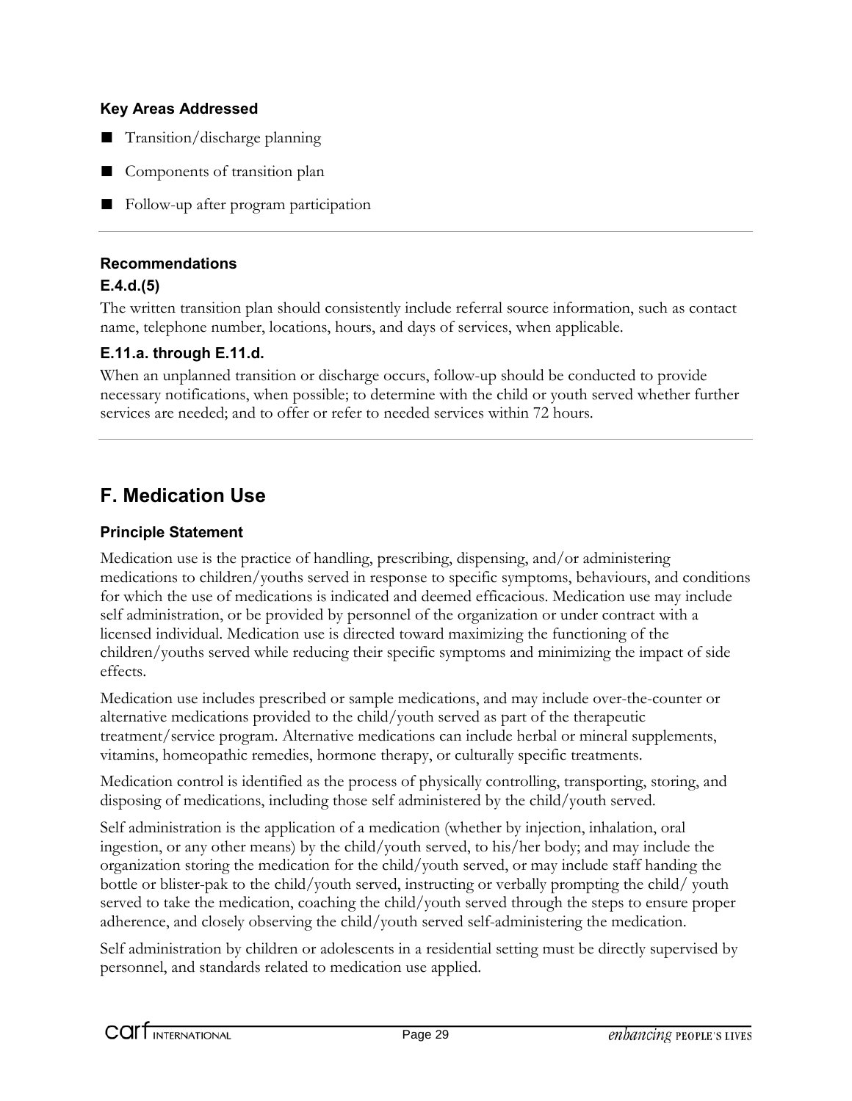- Transition/discharge planning
- Components of transition plan
- Follow-up after program participation

### **Recommendations**

### **E.4.d.(5)**

The written transition plan should consistently include referral source information, such as contact name, telephone number, locations, hours, and days of services, when applicable.

### **E.11.a. through E.11.d.**

When an unplanned transition or discharge occurs, follow-up should be conducted to provide necessary notifications, when possible; to determine with the child or youth served whether further services are needed; and to offer or refer to needed services within 72 hours.

### **F. Medication Use**

### **Principle Statement**

Medication use is the practice of handling, prescribing, dispensing, and/or administering medications to children/youths served in response to specific symptoms, behaviours, and conditions for which the use of medications is indicated and deemed efficacious. Medication use may include self administration, or be provided by personnel of the organization or under contract with a licensed individual. Medication use is directed toward maximizing the functioning of the children/youths served while reducing their specific symptoms and minimizing the impact of side effects.

Medication use includes prescribed or sample medications, and may include over-the-counter or alternative medications provided to the child/youth served as part of the therapeutic treatment/service program. Alternative medications can include herbal or mineral supplements, vitamins, homeopathic remedies, hormone therapy, or culturally specific treatments.

Medication control is identified as the process of physically controlling, transporting, storing, and disposing of medications, including those self administered by the child/youth served.

Self administration is the application of a medication (whether by injection, inhalation, oral ingestion, or any other means) by the child/youth served, to his/her body; and may include the organization storing the medication for the child/youth served, or may include staff handing the bottle or blister-pak to the child/youth served, instructing or verbally prompting the child/ youth served to take the medication, coaching the child/youth served through the steps to ensure proper adherence, and closely observing the child/youth served self-administering the medication.

Self administration by children or adolescents in a residential setting must be directly supervised by personnel, and standards related to medication use applied.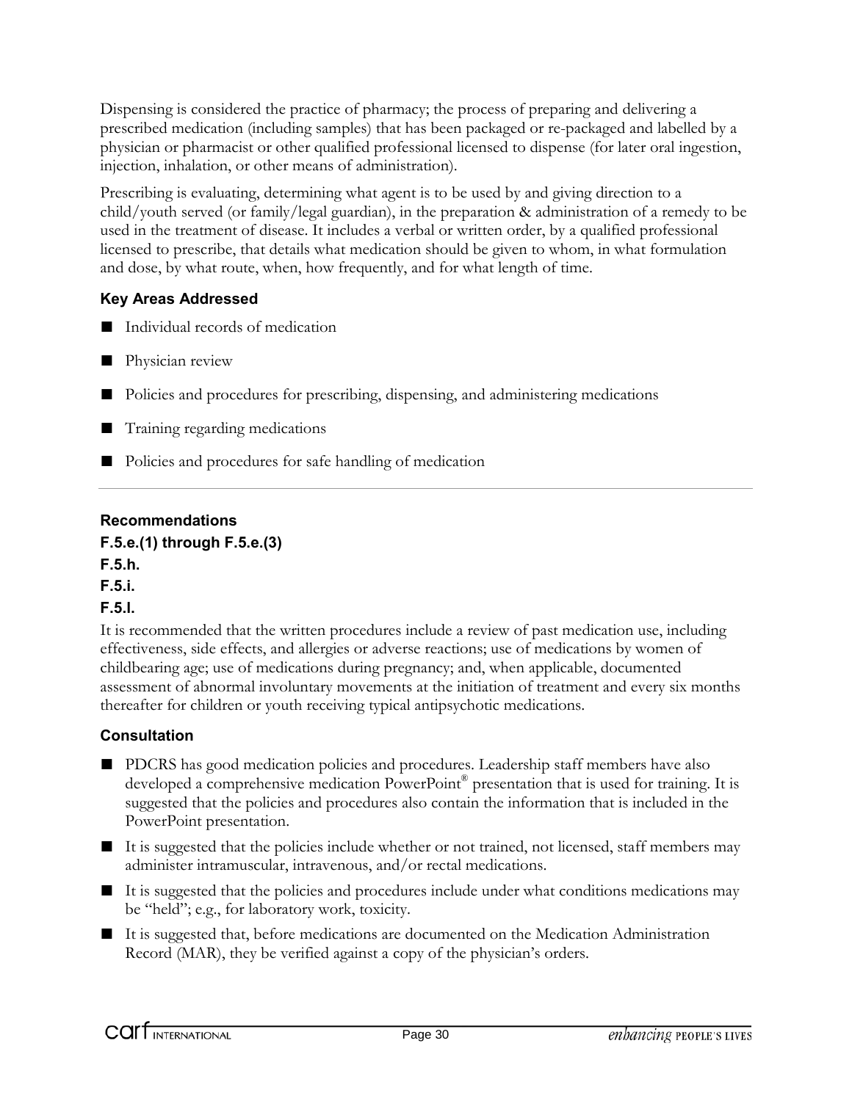Dispensing is considered the practice of pharmacy; the process of preparing and delivering a prescribed medication (including samples) that has been packaged or re-packaged and labelled by a physician or pharmacist or other qualified professional licensed to dispense (for later oral ingestion, injection, inhalation, or other means of administration).

Prescribing is evaluating, determining what agent is to be used by and giving direction to a child/youth served (or family/legal guardian), in the preparation & administration of a remedy to be used in the treatment of disease. It includes a verbal or written order, by a qualified professional licensed to prescribe, that details what medication should be given to whom, in what formulation and dose, by what route, when, how frequently, and for what length of time.

### **Key Areas Addressed**

- Individual records of medication
- Physician review
- Policies and procedures for prescribing, dispensing, and administering medications
- Training regarding medications
- Policies and procedures for safe handling of medication

### **Recommendations**

### **F.5.e.(1) through F.5.e.(3)**

**F.5.h.**

### **F.5.i.**

### **F.5.l.**

It is recommended that the written procedures include a review of past medication use, including effectiveness, side effects, and allergies or adverse reactions; use of medications by women of childbearing age; use of medications during pregnancy; and, when applicable, documented assessment of abnormal involuntary movements at the initiation of treatment and every six months thereafter for children or youth receiving typical antipsychotic medications.

### **Consultation**

- PDCRS has good medication policies and procedures. Leadership staff members have also developed a comprehensive medication PowerPoint<sup>®</sup> presentation that is used for training. It is suggested that the policies and procedures also contain the information that is included in the PowerPoint presentation.
- It is suggested that the policies include whether or not trained, not licensed, staff members may administer intramuscular, intravenous, and/or rectal medications.
- It is suggested that the policies and procedures include under what conditions medications may be "held"; e.g., for laboratory work, toxicity.
- It is suggested that, before medications are documented on the Medication Administration Record (MAR), they be verified against a copy of the physician's orders.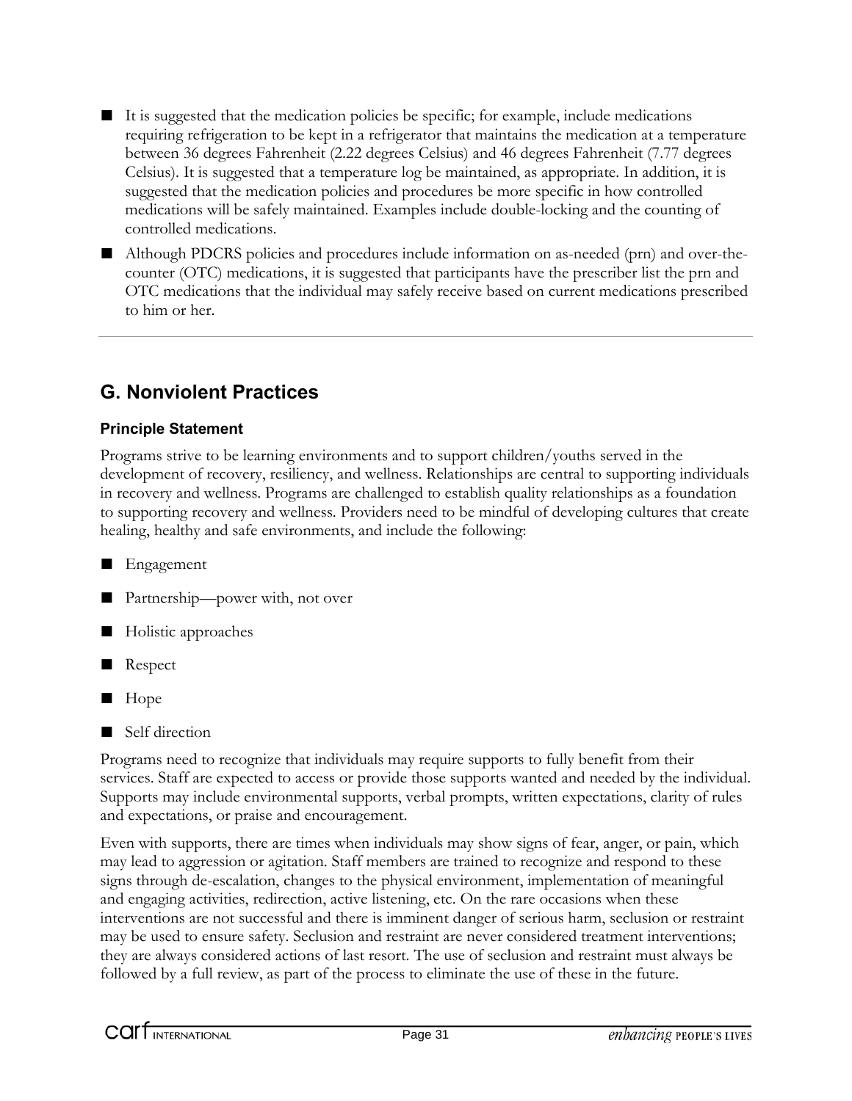- It is suggested that the medication policies be specific; for example, include medications requiring refrigeration to be kept in a refrigerator that maintains the medication at a temperature between 36 degrees Fahrenheit (2.22 degrees Celsius) and 46 degrees Fahrenheit (7.77 degrees Celsius). It is suggested that a temperature log be maintained, as appropriate. In addition, it is suggested that the medication policies and procedures be more specific in how controlled medications will be safely maintained. Examples include double-locking and the counting of controlled medications.
- Although PDCRS policies and procedures include information on as-needed (prn) and over-thecounter (OTC) medications, it is suggested that participants have the prescriber list the prn and OTC medications that the individual may safely receive based on current medications prescribed to him or her.

### **G. Nonviolent Practices**

### **Principle Statement**

Programs strive to be learning environments and to support children/youths served in the development of recovery, resiliency, and wellness. Relationships are central to supporting individuals in recovery and wellness. Programs are challenged to establish quality relationships as a foundation to supporting recovery and wellness. Providers need to be mindful of developing cultures that create healing, healthy and safe environments, and include the following:

■ Engagement

- Partnership—power with, not over
- Holistic approaches
- Respect
- Hope
- Self direction

Programs need to recognize that individuals may require supports to fully benefit from their services. Staff are expected to access or provide those supports wanted and needed by the individual. Supports may include environmental supports, verbal prompts, written expectations, clarity of rules and expectations, or praise and encouragement.

Even with supports, there are times when individuals may show signs of fear, anger, or pain, which may lead to aggression or agitation. Staff members are trained to recognize and respond to these signs through de-escalation, changes to the physical environment, implementation of meaningful and engaging activities, redirection, active listening, etc. On the rare occasions when these interventions are not successful and there is imminent danger of serious harm, seclusion or restraint may be used to ensure safety. Seclusion and restraint are never considered treatment interventions; they are always considered actions of last resort. The use of seclusion and restraint must always be followed by a full review, as part of the process to eliminate the use of these in the future.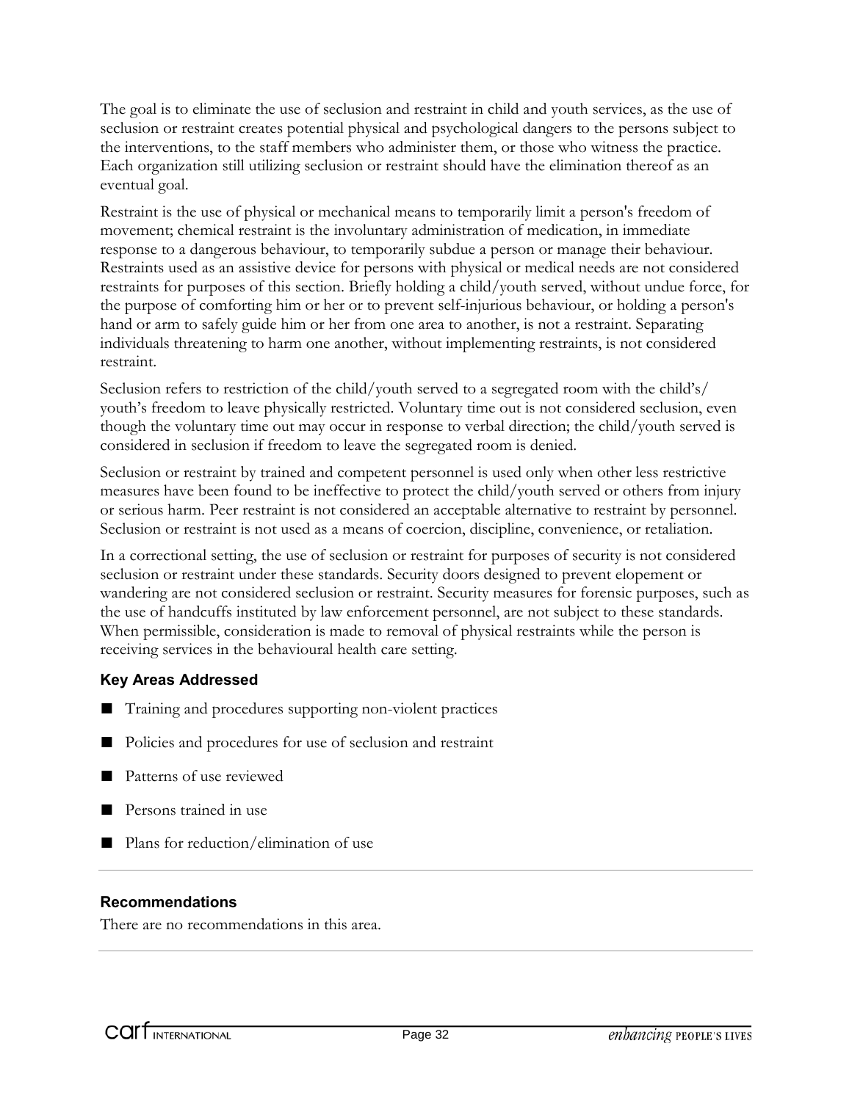The goal is to eliminate the use of seclusion and restraint in child and youth services, as the use of seclusion or restraint creates potential physical and psychological dangers to the persons subject to the interventions, to the staff members who administer them, or those who witness the practice. Each organization still utilizing seclusion or restraint should have the elimination thereof as an eventual goal.

Restraint is the use of physical or mechanical means to temporarily limit a person's freedom of movement; chemical restraint is the involuntary administration of medication, in immediate response to a dangerous behaviour, to temporarily subdue a person or manage their behaviour. Restraints used as an assistive device for persons with physical or medical needs are not considered restraints for purposes of this section. Briefly holding a child/youth served, without undue force, for the purpose of comforting him or her or to prevent self-injurious behaviour, or holding a person's hand or arm to safely guide him or her from one area to another, is not a restraint. Separating individuals threatening to harm one another, without implementing restraints, is not considered restraint.

Seclusion refers to restriction of the child/youth served to a segregated room with the child's/ youth's freedom to leave physically restricted. Voluntary time out is not considered seclusion, even though the voluntary time out may occur in response to verbal direction; the child/youth served is considered in seclusion if freedom to leave the segregated room is denied.

Seclusion or restraint by trained and competent personnel is used only when other less restrictive measures have been found to be ineffective to protect the child/youth served or others from injury or serious harm. Peer restraint is not considered an acceptable alternative to restraint by personnel. Seclusion or restraint is not used as a means of coercion, discipline, convenience, or retaliation.

In a correctional setting, the use of seclusion or restraint for purposes of security is not considered seclusion or restraint under these standards. Security doors designed to prevent elopement or wandering are not considered seclusion or restraint. Security measures for forensic purposes, such as the use of handcuffs instituted by law enforcement personnel, are not subject to these standards. When permissible, consideration is made to removal of physical restraints while the person is receiving services in the behavioural health care setting.

### **Key Areas Addressed**

- Training and procedures supporting non-violent practices
- Policies and procedures for use of seclusion and restraint
- Patterns of use reviewed
- Persons trained in use
- Plans for reduction/elimination of use

### **Recommendations**

There are no recommendations in this area.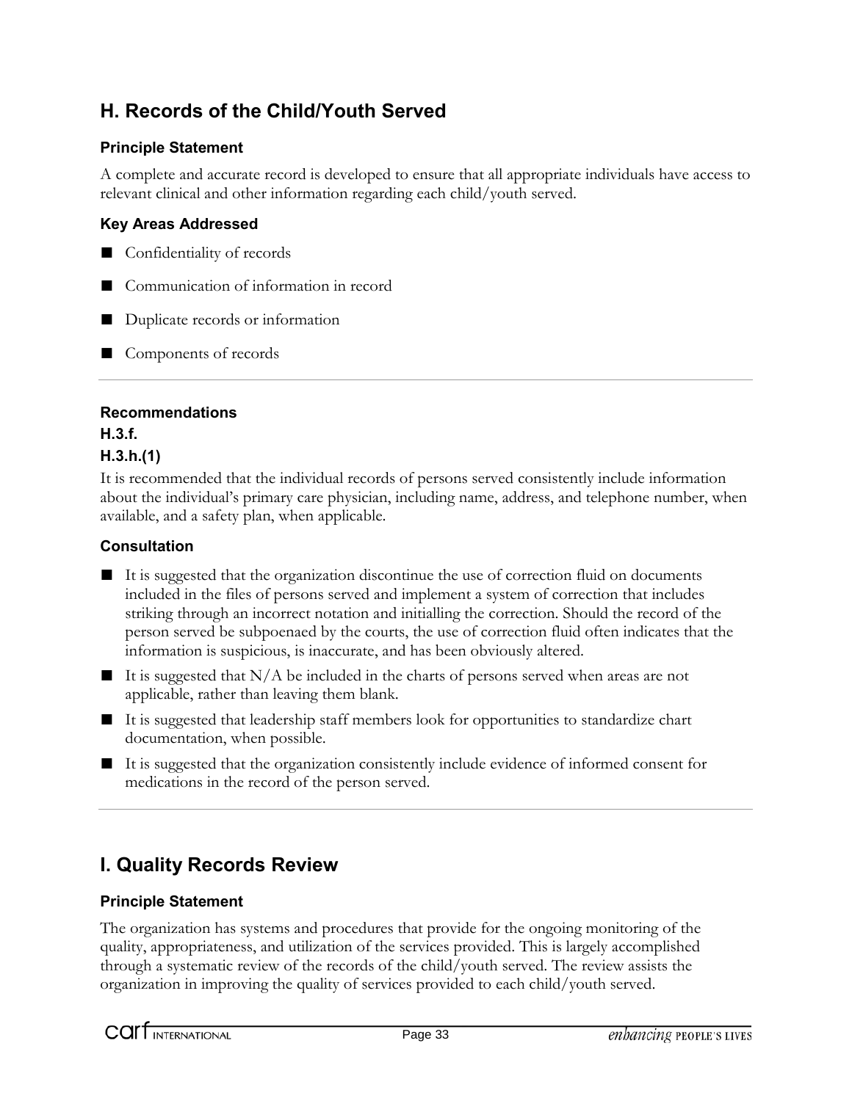### **H. Records of the Child/Youth Served**

### **Principle Statement**

A complete and accurate record is developed to ensure that all appropriate individuals have access to relevant clinical and other information regarding each child/youth served.

### **Key Areas Addressed**

- Confidentiality of records
- Communication of information in record
- Duplicate records or information
- Components of records

### **Recommendations**

#### **H.3.f. H.3.h.(1)**

It is recommended that the individual records of persons served consistently include information about the individual's primary care physician, including name, address, and telephone number, when available, and a safety plan, when applicable.

### **Consultation**

- It is suggested that the organization discontinue the use of correction fluid on documents included in the files of persons served and implement a system of correction that includes striking through an incorrect notation and initialling the correction. Should the record of the person served be subpoenaed by the courts, the use of correction fluid often indicates that the information is suspicious, is inaccurate, and has been obviously altered.
- $\blacksquare$  It is suggested that N/A be included in the charts of persons served when areas are not applicable, rather than leaving them blank.
- It is suggested that leadership staff members look for opportunities to standardize chart documentation, when possible.
- It is suggested that the organization consistently include evidence of informed consent for medications in the record of the person served.

### **I. Quality Records Review**

### **Principle Statement**

The organization has systems and procedures that provide for the ongoing monitoring of the quality, appropriateness, and utilization of the services provided. This is largely accomplished through a systematic review of the records of the child/youth served. The review assists the organization in improving the quality of services provided to each child/youth served.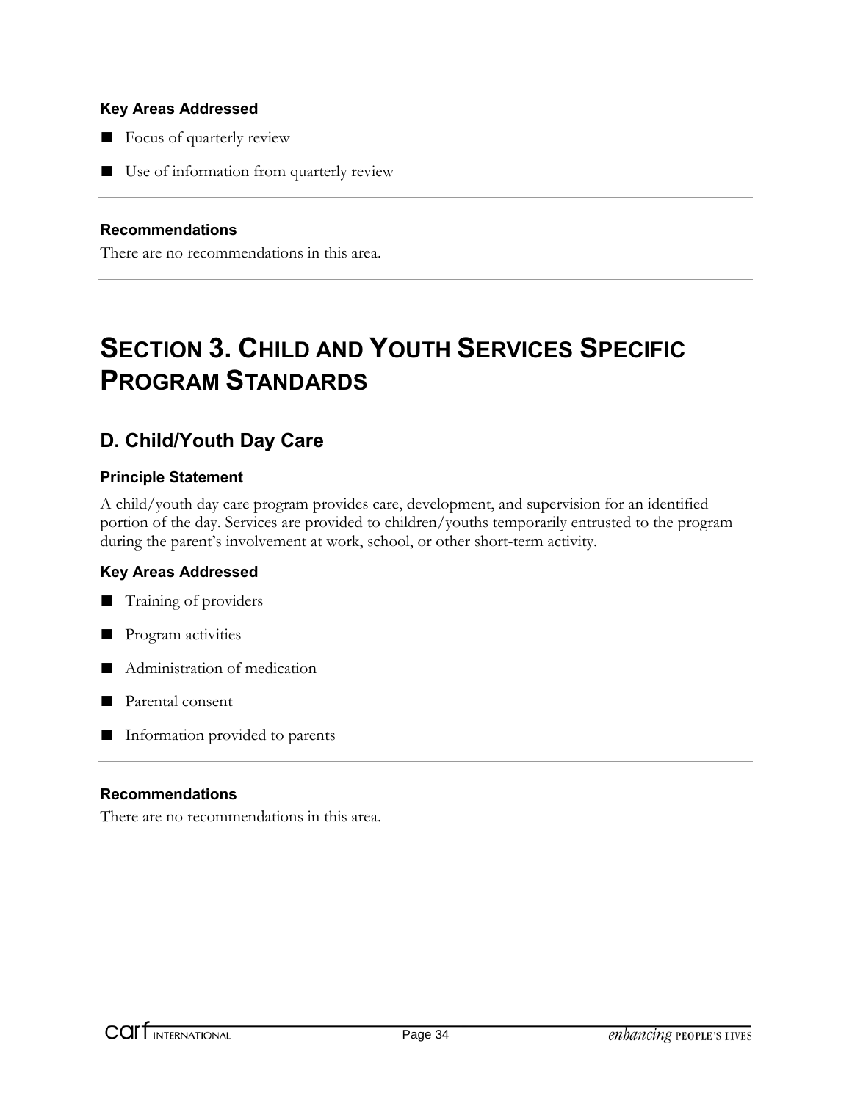- Focus of quarterly review
- Use of information from quarterly review

#### **Recommendations**

There are no recommendations in this area.

# **SECTION 3. CHILD AND YOUTH SERVICES SPECIFIC PROGRAM STANDARDS**

### **D. Child/Youth Day Care**

### **Principle Statement**

A child/youth day care program provides care, development, and supervision for an identified portion of the day. Services are provided to children/youths temporarily entrusted to the program during the parent's involvement at work, school, or other short-term activity.

### **Key Areas Addressed**



- Program activities
- Administration of medication
- Parental consent
- Information provided to parents

#### **Recommendations**

There are no recommendations in this area.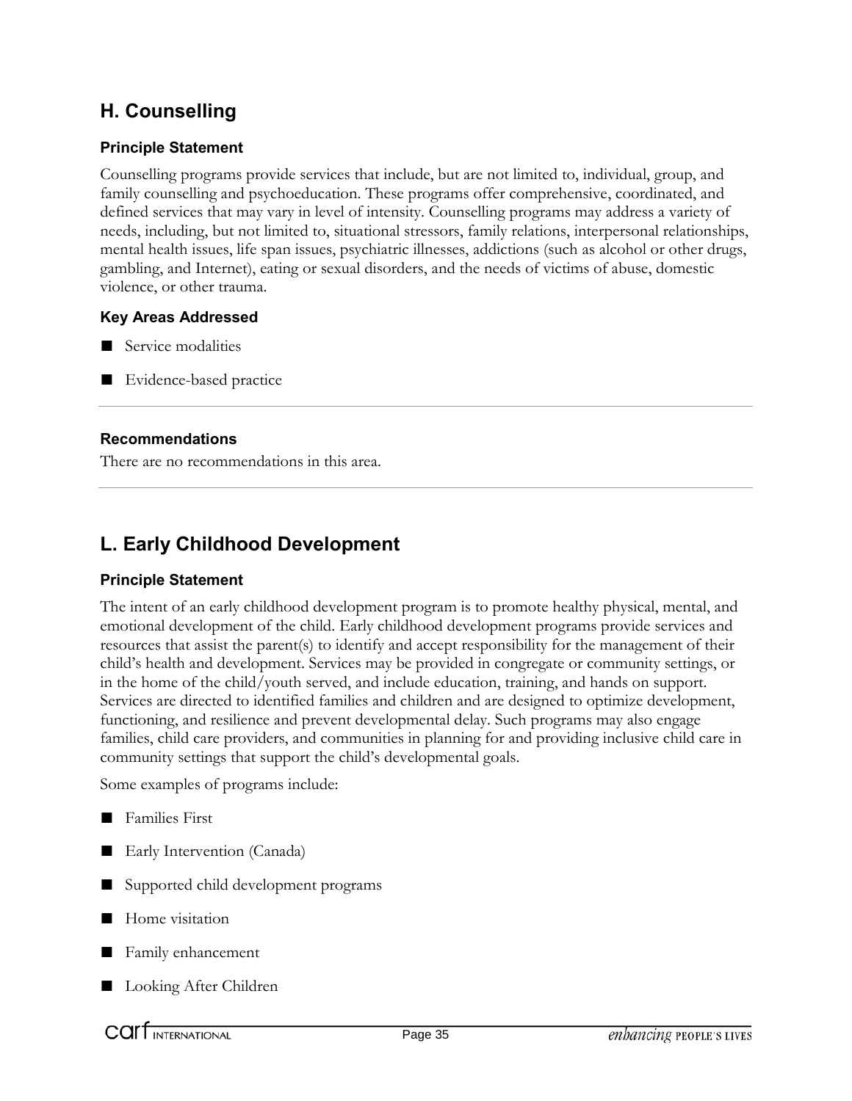### **H. Counselling**

### **Principle Statement**

Counselling programs provide services that include, but are not limited to, individual, group, and family counselling and psychoeducation. These programs offer comprehensive, coordinated, and defined services that may vary in level of intensity. Counselling programs may address a variety of needs, including, but not limited to, situational stressors, family relations, interpersonal relationships, mental health issues, life span issues, psychiatric illnesses, addictions (such as alcohol or other drugs, gambling, and Internet), eating or sexual disorders, and the needs of victims of abuse, domestic violence, or other trauma.

### **Key Areas Addressed**

- Service modalities
- Evidence-based practice

### **Recommendations**

There are no recommendations in this area.

### **L. Early Childhood Development**

### **Principle Statement**

The intent of an early childhood development program is to promote healthy physical, mental, and emotional development of the child. Early childhood development programs provide services and resources that assist the parent(s) to identify and accept responsibility for the management of their child's health and development. Services may be provided in congregate or community settings, or in the home of the child/youth served, and include education, training, and hands on support. Services are directed to identified families and children and are designed to optimize development, functioning, and resilience and prevent developmental delay. Such programs may also engage families, child care providers, and communities in planning for and providing inclusive child care in community settings that support the child's developmental goals.

Some examples of programs include:

- Families First
- Early Intervention (Canada)
- Supported child development programs
- Home visitation
- Family enhancement
- Looking After Children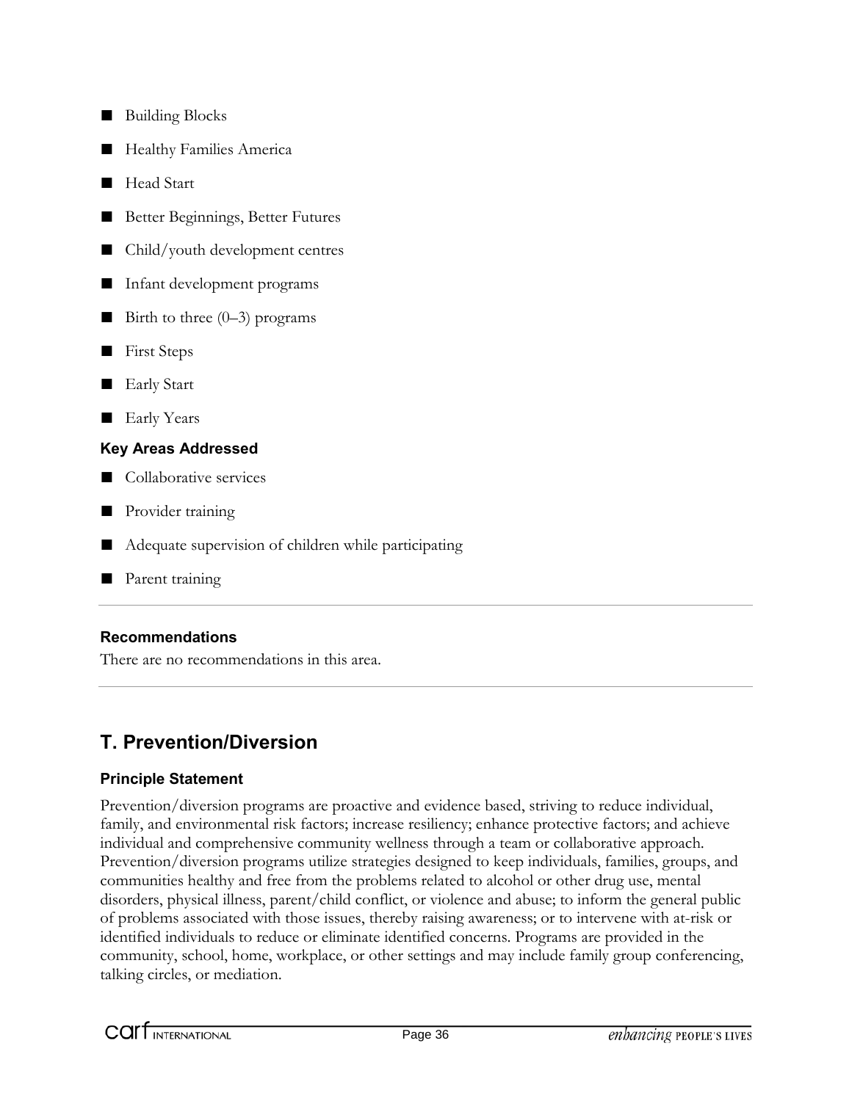- Building Blocks
- Healthy Families America
- Head Start
- Better Beginnings, Better Futures
- Child/youth development centres
- Infant development programs
- **Birth to three**  $(0-3)$  **programs**
- First Steps
- Early Start
- Early Years

- Collaborative services
- Provider training
- Adequate supervision of children while participating
- Parent training

### **Recommendations**

There are no recommendations in this area.

### **T. Prevention/Diversion**

### **Principle Statement**

Prevention/diversion programs are proactive and evidence based, striving to reduce individual, family, and environmental risk factors; increase resiliency; enhance protective factors; and achieve individual and comprehensive community wellness through a team or collaborative approach. Prevention/diversion programs utilize strategies designed to keep individuals, families, groups, and communities healthy and free from the problems related to alcohol or other drug use, mental disorders, physical illness, parent/child conflict, or violence and abuse; to inform the general public of problems associated with those issues, thereby raising awareness; or to intervene with at-risk or identified individuals to reduce or eliminate identified concerns. Programs are provided in the community, school, home, workplace, or other settings and may include family group conferencing, talking circles, or mediation.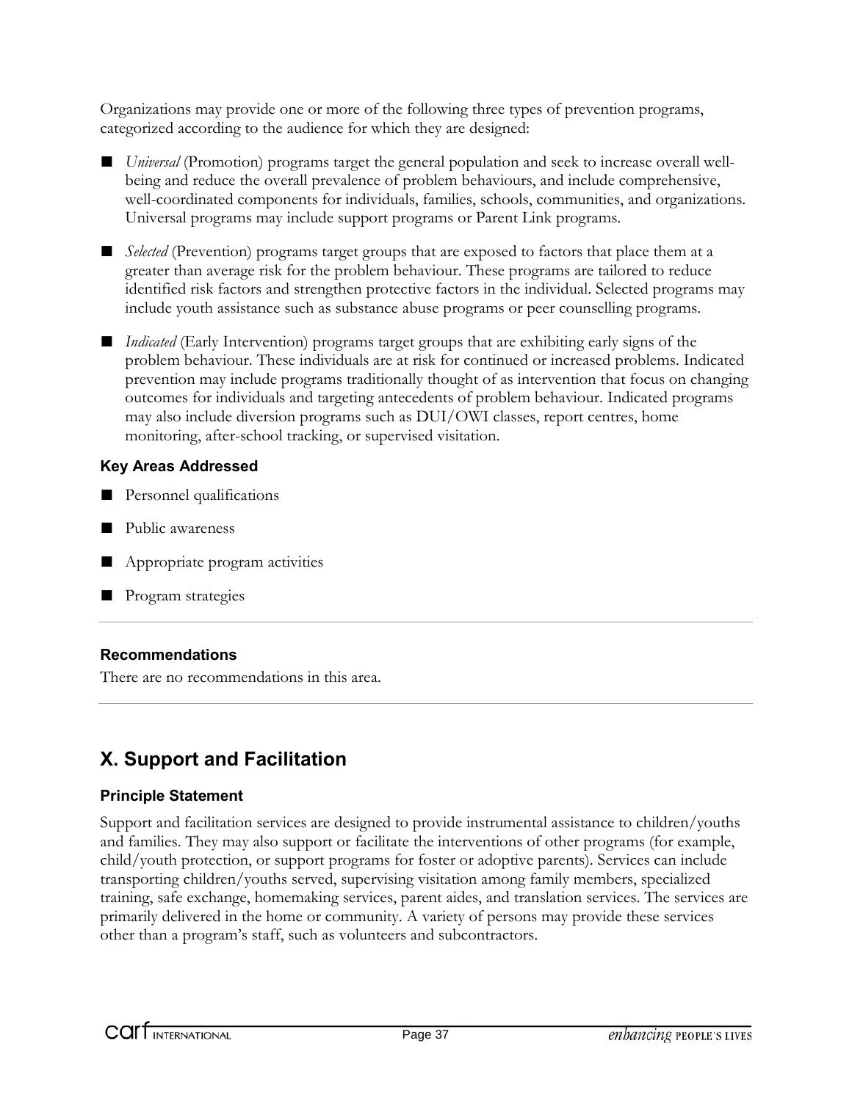Organizations may provide one or more of the following three types of prevention programs, categorized according to the audience for which they are designed:

- *Universal* (Promotion) programs target the general population and seek to increase overall wellbeing and reduce the overall prevalence of problem behaviours, and include comprehensive, well-coordinated components for individuals, families, schools, communities, and organizations. Universal programs may include support programs or Parent Link programs.
- *Selected* (Prevention) programs target groups that are exposed to factors that place them at a greater than average risk for the problem behaviour. These programs are tailored to reduce identified risk factors and strengthen protective factors in the individual. Selected programs may include youth assistance such as substance abuse programs or peer counselling programs.
- *Indicated* (Early Intervention) programs target groups that are exhibiting early signs of the problem behaviour. These individuals are at risk for continued or increased problems. Indicated prevention may include programs traditionally thought of as intervention that focus on changing outcomes for individuals and targeting antecedents of problem behaviour. Indicated programs may also include diversion programs such as DUI/OWI classes, report centres, home monitoring, after-school tracking, or supervised visitation.

### **Key Areas Addressed**

- Personnel qualifications
- Public awareness
- Appropriate program activities
- Program strategies

### **Recommendations**

There are no recommendations in this area.

### **X. Support and Facilitation**

### **Principle Statement**

Support and facilitation services are designed to provide instrumental assistance to children/youths and families. They may also support or facilitate the interventions of other programs (for example, child/youth protection, or support programs for foster or adoptive parents). Services can include transporting children/youths served, supervising visitation among family members, specialized training, safe exchange, homemaking services, parent aides, and translation services. The services are primarily delivered in the home or community. A variety of persons may provide these services other than a program's staff, such as volunteers and subcontractors.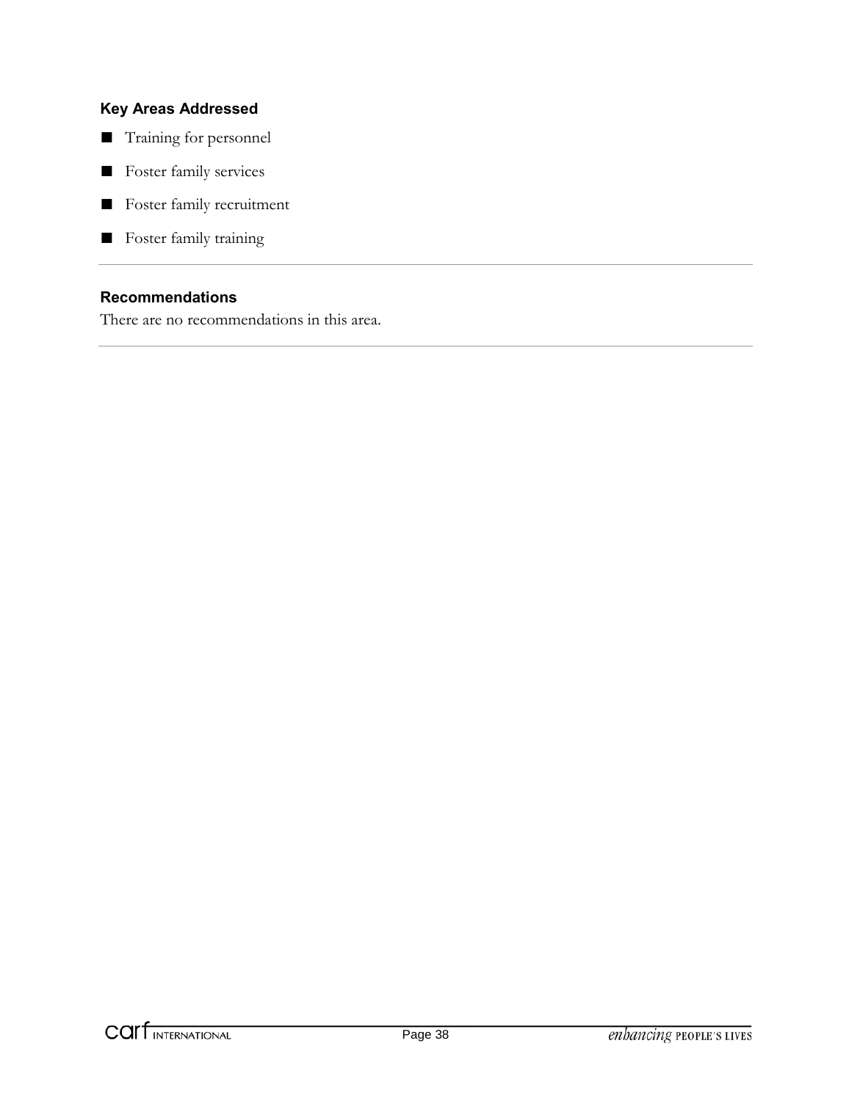- Training for personnel
- Foster family services
- Foster family recruitment
- Foster family training

### **Recommendations**

There are no recommendations in this area.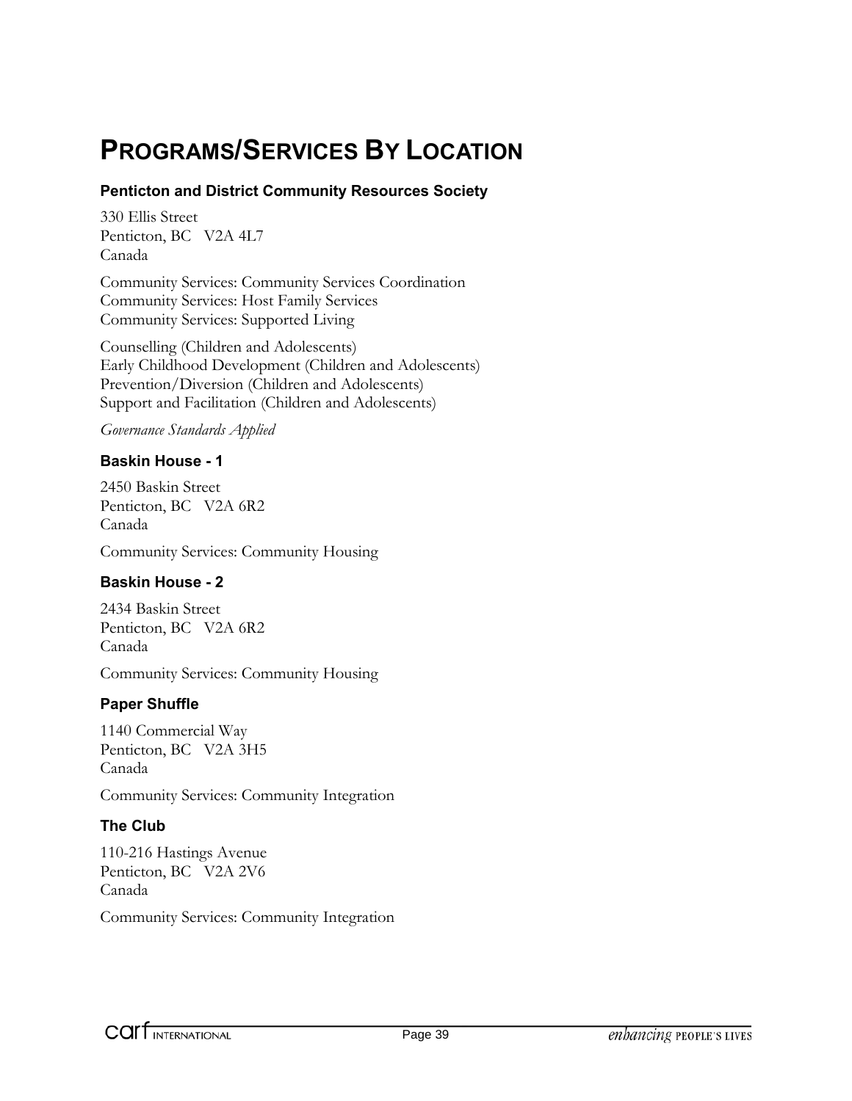# **PROGRAMS/SERVICES BY LOCATION**

### **Penticton and District Community Resources Society**

330 Ellis Street Penticton, BC V2A 4L7 Canada

Community Services: Community Services Coordination Community Services: Host Family Services Community Services: Supported Living

Counselling (Children and Adolescents) Early Childhood Development (Children and Adolescents) Prevention/Diversion (Children and Adolescents) Support and Facilitation (Children and Adolescents)

#### *Governance Standards Applied*

### **Baskin House - 1**

2450 Baskin Street Penticton, BC V2A 6R2 Canada

Community Services: Community Housing

### **Baskin House - 2**

2434 Baskin Street Penticton, BC V2A 6R2 Canada

Community Services: Community Housing

### **Paper Shuffle**

1140 Commercial Way Penticton, BC V2A 3H5 Canada

Community Services: Community Integration

### **The Club**

110-216 Hastings Avenue Penticton, BC V2A 2V6 Canada

Community Services: Community Integration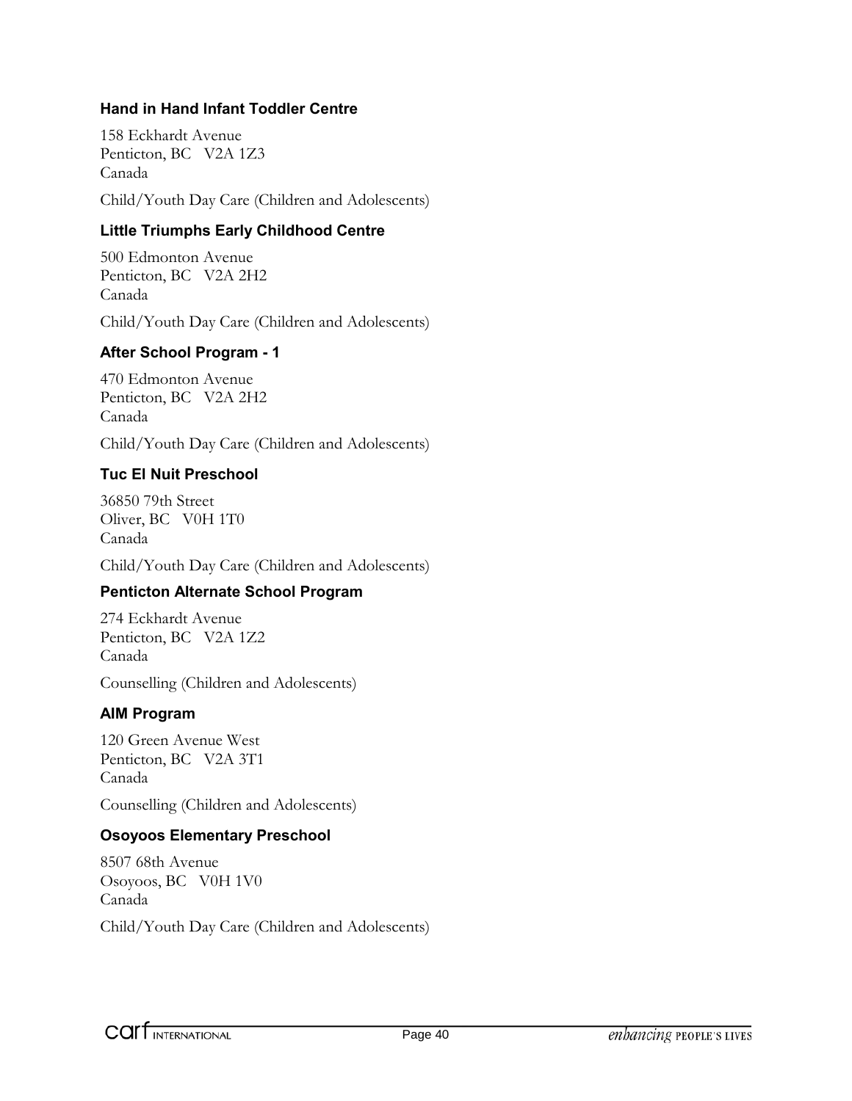### **Hand in Hand Infant Toddler Centre**

158 Eckhardt Avenue Penticton, BC V2A 1Z3 Canada Child/Youth Day Care (Children and Adolescents)

### **Little Triumphs Early Childhood Centre**

500 Edmonton Avenue Penticton, BC V2A 2H2 Canada Child/Youth Day Care (Children and Adolescents)

### **After School Program - 1**

470 Edmonton Avenue Penticton, BC V2A 2H2 Canada

Child/Youth Day Care (Children and Adolescents)

### **Tuc El Nuit Preschool**

36850 79th Street Oliver, BC V0H 1T0 Canada

Child/Youth Day Care (Children and Adolescents)

### **Penticton Alternate School Program**

274 Eckhardt Avenue Penticton, BC V2A 1Z2 Canada

Counselling (Children and Adolescents)

### **AIM Program**

120 Green Avenue West Penticton, BC V2A 3T1 Canada

Counselling (Children and Adolescents)

### **Osoyoos Elementary Preschool**

8507 68th Avenue Osoyoos, BC V0H 1V0 Canada Child/Youth Day Care (Children and Adolescents)